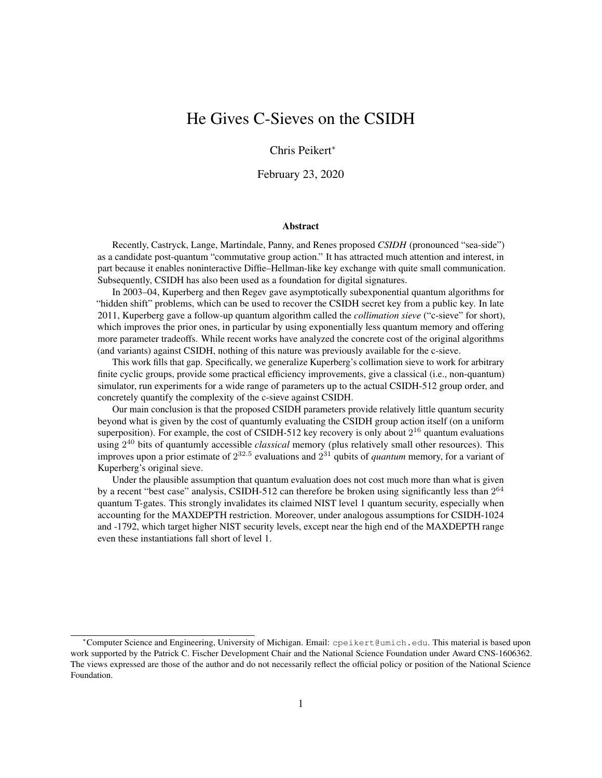# He Gives C-Sieves on the CSIDH

Chris Peikert<sup>∗</sup>

February 23, 2020

#### Abstract

Recently, Castryck, Lange, Martindale, Panny, and Renes proposed *CSIDH* (pronounced "sea-side") as a candidate post-quantum "commutative group action." It has attracted much attention and interest, in part because it enables noninteractive Diffie–Hellman-like key exchange with quite small communication. Subsequently, CSIDH has also been used as a foundation for digital signatures.

In 2003–04, Kuperberg and then Regev gave asymptotically subexponential quantum algorithms for "hidden shift" problems, which can be used to recover the CSIDH secret key from a public key. In late 2011, Kuperberg gave a follow-up quantum algorithm called the *collimation sieve* ("c-sieve" for short), which improves the prior ones, in particular by using exponentially less quantum memory and offering more parameter tradeoffs. While recent works have analyzed the concrete cost of the original algorithms (and variants) against CSIDH, nothing of this nature was previously available for the c-sieve.

This work fills that gap. Specifically, we generalize Kuperberg's collimation sieve to work for arbitrary finite cyclic groups, provide some practical efficiency improvements, give a classical (i.e., non-quantum) simulator, run experiments for a wide range of parameters up to the actual CSIDH-512 group order, and concretely quantify the complexity of the c-sieve against CSIDH.

Our main conclusion is that the proposed CSIDH parameters provide relatively little quantum security beyond what is given by the cost of quantumly evaluating the CSIDH group action itself (on a uniform superposition). For example, the cost of CSIDH-512 key recovery is only about  $2^{16}$  quantum evaluations using 2 <sup>40</sup> bits of quantumly accessible *classical* memory (plus relatively small other resources). This improves upon a prior estimate of  $2^{32.5}$  evaluations and  $2^{31}$  qubits of *quantum* memory, for a variant of Kuperberg's original sieve.

Under the plausible assumption that quantum evaluation does not cost much more than what is given by a recent "best case" analysis, CSIDH-512 can therefore be broken using significantly less than  $2^{64}$ quantum T-gates. This strongly invalidates its claimed NIST level 1 quantum security, especially when accounting for the MAXDEPTH restriction. Moreover, under analogous assumptions for CSIDH-1024 and -1792, which target higher NIST security levels, except near the high end of the MAXDEPTH range even these instantiations fall short of level 1.

<sup>∗</sup>Computer Science and Engineering, University of Michigan. Email: cpeikert@umich.edu. This material is based upon work supported by the Patrick C. Fischer Development Chair and the National Science Foundation under Award CNS-1606362. The views expressed are those of the author and do not necessarily reflect the official policy or position of the National Science Foundation.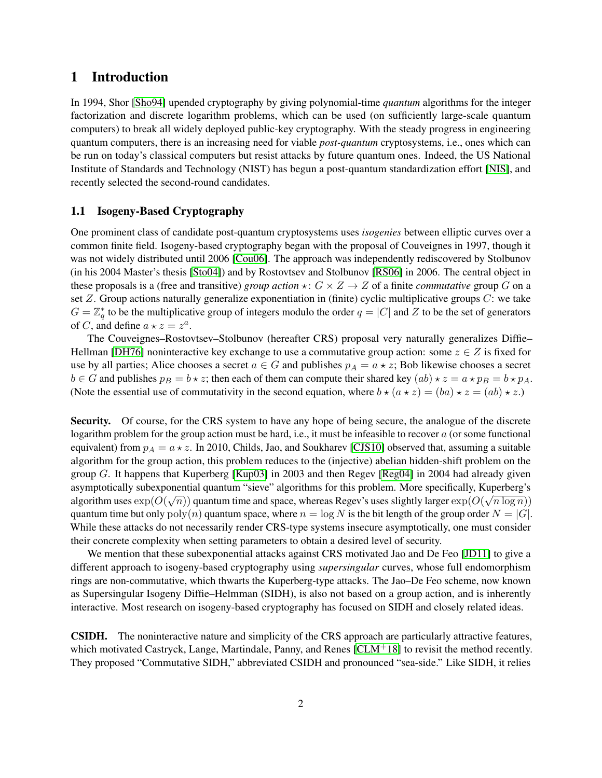## 1 Introduction

In 1994, Shor [\[Sho94\]](#page-24-0) upended cryptography by giving polynomial-time *quantum* algorithms for the integer factorization and discrete logarithm problems, which can be used (on sufficiently large-scale quantum computers) to break all widely deployed public-key cryptography. With the steady progress in engineering quantum computers, there is an increasing need for viable *post-quantum* cryptosystems, i.e., ones which can be run on today's classical computers but resist attacks by future quantum ones. Indeed, the US National Institute of Standards and Technology (NIST) has begun a post-quantum standardization effort [\[NIS\]](#page-24-1), and recently selected the second-round candidates.

## 1.1 Isogeny-Based Cryptography

One prominent class of candidate post-quantum cryptosystems uses *isogenies* between elliptic curves over a common finite field. Isogeny-based cryptography began with the proposal of Couveignes in 1997, though it was not widely distributed until 2006 [\[Cou06\]](#page-23-0). The approach was independently rediscovered by Stolbunov (in his 2004 Master's thesis [\[Sto04\]](#page-24-2)) and by Rostovtsev and Stolbunov [\[RS06\]](#page-24-3) in 2006. The central object in these proposals is a (free and transitive) *group action*  $\star : G \times Z \to Z$  of a finite *commutative* group G on a set  $Z$ . Group actions naturally generalize exponentiation in (finite) cyclic multiplicative groups  $C$ : we take  $G = \mathbb{Z}_q^*$  to be the multiplicative group of integers modulo the order  $q = |C|$  and Z to be the set of generators of C, and define  $a \star z = z^a$ .

The Couveignes–Rostovtsev–Stolbunov (hereafter CRS) proposal very naturally generalizes Diffie– Hellman [\[DH76\]](#page-23-1) noninteractive key exchange to use a commutative group action: some  $z \in Z$  is fixed for use by all parties; Alice chooses a secret  $a \in G$  and publishes  $p_A = a \star z$ ; Bob likewise chooses a secret  $b \in G$  and publishes  $p_B = b \star z$ ; then each of them can compute their shared key  $(ab) \star z = a \star p_B = b \star p_A$ . (Note the essential use of commutativity in the second equation, where  $b \star (a \star z) = (ba) \star z = (ab) \star z$ .)

Security. Of course, for the CRS system to have any hope of being secure, the analogue of the discrete logarithm problem for the group action must be hard, i.e., it must be infeasible to recover  $a$  (or some functional equivalent) from  $p_A = a \star z$ . In 2010, Childs, Jao, and Soukharev [\[CJS10\]](#page-23-2) observed that, assuming a suitable algorithm for the group action, this problem reduces to the (injective) abelian hidden-shift problem on the group G. It happens that Kuperberg [\[Kup03\]](#page-24-4) in 2003 and then Regev [\[Reg04\]](#page-24-5) in 2004 had already given asymptotically subexponential quantum "sieve" algorithms for this problem. More specifically, Kuperberg's algorithm uses  $\exp(O(\sqrt{n}))$  quantum time and space, whereas Regev's uses slightly larger  $\exp(O(\sqrt{n\log n}))$ quantum time but only  $poly(n)$  quantum space, where  $n = log N$  is the bit length of the group order  $N = |G|$ . While these attacks do not necessarily render CRS-type systems insecure asymptotically, one must consider their concrete complexity when setting parameters to obtain a desired level of security.

We mention that these subexponential attacks against CRS motivated Jao and De Feo [\[JD11\]](#page-23-3) to give a different approach to isogeny-based cryptography using *supersingular* curves, whose full endomorphism rings are non-commutative, which thwarts the Kuperberg-type attacks. The Jao–De Feo scheme, now known as Supersingular Isogeny Diffie–Helmman (SIDH), is also not based on a group action, and is inherently interactive. Most research on isogeny-based cryptography has focused on SIDH and closely related ideas.

CSIDH. The noninteractive nature and simplicity of the CRS approach are particularly attractive features, which motivated Castryck, Lange, Martindale, Panny, and Renes  $\lceil CLM^+18 \rceil$  to revisit the method recently. They proposed "Commutative SIDH," abbreviated CSIDH and pronounced "sea-side." Like SIDH, it relies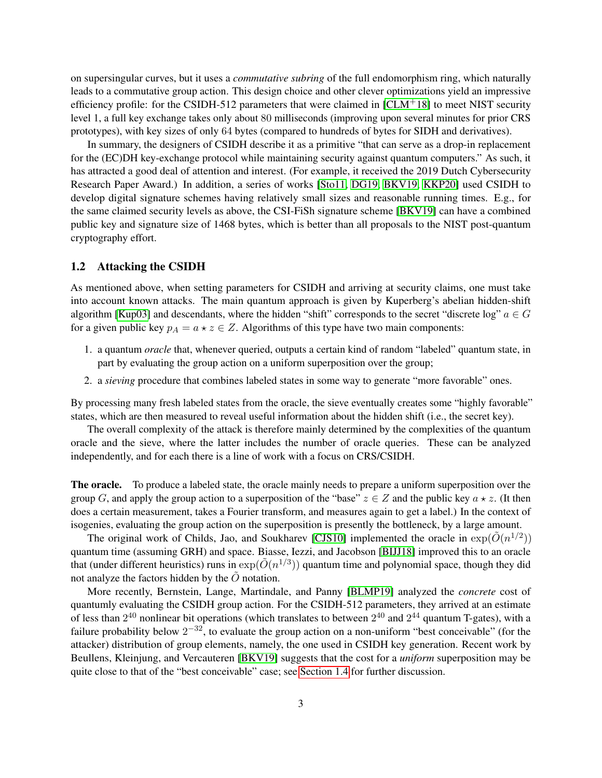on supersingular curves, but it uses a *commutative subring* of the full endomorphism ring, which naturally leads to a commutative group action. This design choice and other clever optimizations yield an impressive efficiency profile: for the CSIDH-512 parameters that were claimed in  $\text{[CLM}^{+18]}$  $\text{[CLM}^{+18]}$  $\text{[CLM}^{+18]}$  to meet NIST security level 1, a full key exchange takes only about 80 milliseconds (improving upon several minutes for prior CRS prototypes), with key sizes of only 64 bytes (compared to hundreds of bytes for SIDH and derivatives).

In summary, the designers of CSIDH describe it as a primitive "that can serve as a drop-in replacement for the (EC)DH key-exchange protocol while maintaining security against quantum computers." As such, it has attracted a good deal of attention and interest. (For example, it received the 2019 Dutch Cybersecurity Research Paper Award.) In addition, a series of works [\[Sto11,](#page-24-6) [DG19,](#page-23-5) [BKV19,](#page-23-6) [KKP20\]](#page-24-7) used CSIDH to develop digital signature schemes having relatively small sizes and reasonable running times. E.g., for the same claimed security levels as above, the CSI-FiSh signature scheme [\[BKV19\]](#page-23-6) can have a combined public key and signature size of 1468 bytes, which is better than all proposals to the NIST post-quantum cryptography effort.

### 1.2 Attacking the CSIDH

As mentioned above, when setting parameters for CSIDH and arriving at security claims, one must take into account known attacks. The main quantum approach is given by Kuperberg's abelian hidden-shift algorithm [\[Kup03\]](#page-24-4) and descendants, where the hidden "shift" corresponds to the secret "discrete log"  $a \in G$ for a given public key  $p_A = a \star z \in Z$ . Algorithms of this type have two main components:

- 1. a quantum *oracle* that, whenever queried, outputs a certain kind of random "labeled" quantum state, in part by evaluating the group action on a uniform superposition over the group;
- 2. a *sieving* procedure that combines labeled states in some way to generate "more favorable" ones.

By processing many fresh labeled states from the oracle, the sieve eventually creates some "highly favorable" states, which are then measured to reveal useful information about the hidden shift (i.e., the secret key).

The overall complexity of the attack is therefore mainly determined by the complexities of the quantum oracle and the sieve, where the latter includes the number of oracle queries. These can be analyzed independently, and for each there is a line of work with a focus on CRS/CSIDH.

The oracle. To produce a labeled state, the oracle mainly needs to prepare a uniform superposition over the group G, and apply the group action to a superposition of the "base"  $z \in Z$  and the public key  $a \star z$ . (It then does a certain measurement, takes a Fourier transform, and measures again to get a label.) In the context of isogenies, evaluating the group action on the superposition is presently the bottleneck, by a large amount.

The original work of Childs, Jao, and Soukharev [\[CJS10\]](#page-23-2) implemented the oracle in  $\exp(\tilde{O}(n^{1/2}))$ quantum time (assuming GRH) and space. Biasse, Iezzi, and Jacobson [\[BIJJ18\]](#page-23-7) improved this to an oracle that (under different heuristics) runs in  $\exp(\tilde{O}(n^{1/3}))$  quantum time and polynomial space, though they did not analyze the factors hidden by the  $\tilde{O}$  notation.

More recently, Bernstein, Lange, Martindale, and Panny [\[BLMP19\]](#page-23-8) analyzed the *concrete* cost of quantumly evaluating the CSIDH group action. For the CSIDH-512 parameters, they arrived at an estimate of less than  $2^{40}$  nonlinear bit operations (which translates to between  $2^{40}$  and  $2^{44}$  quantum T-gates), with a failure probability below  $2^{-32}$ , to evaluate the group action on a non-uniform "best conceivable" (for the attacker) distribution of group elements, namely, the one used in CSIDH key generation. Recent work by Beullens, Kleinjung, and Vercauteren [\[BKV19\]](#page-23-6) suggests that the cost for a *uniform* superposition may be quite close to that of the "best conceivable" case; see [Section 1.4](#page-5-0) for further discussion.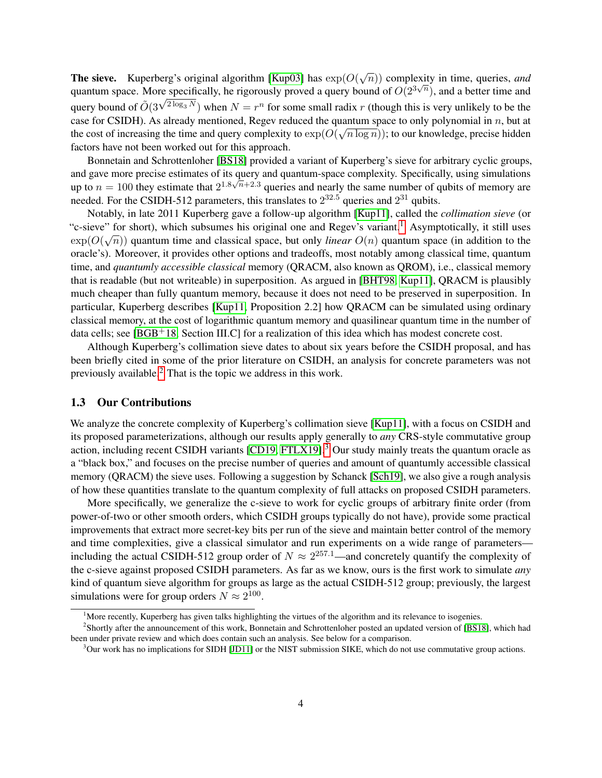**The sieve.** Kuperberg's original algorithm [\[Kup03\]](#page-24-4) has  $exp(O(\sqrt{n}))$  complexity in time, queries, and quantum space. More specifically, he rigorously proved a query bound of  $O(2^{3\sqrt{n}})$ , and a better time and query bound of  $O(3^{\sqrt{2\log_3 N}})$  when  $N = r^n$  for some small radix r (though this is very unlikely to be the case for CSIDH). As already mentioned, Regev reduced the quantum space to only polynomial in *n*, but at the cost of increasing the time and query complexity to  $exp(O(\sqrt{n \log n}))$ ; to our knowledge, precise hidden factors have not been worked out for this approach.

Bonnetain and Schrottenloher [\[BS18\]](#page-23-9) provided a variant of Kuperberg's sieve for arbitrary cyclic groups, and gave more precise estimates of its query and quantum-space complexity. Specifically, using simulations √ up to  $n = 100$  they estimate that  $2^{1.8\sqrt{n}+2.3}$  queries and nearly the same number of qubits of memory are needed. For the CSIDH-512 parameters, this translates to  $2^{32.5}$  queries and  $2^{31}$  qubits.

Notably, in late 2011 Kuperberg gave a follow-up algorithm [\[Kup11\]](#page-24-8), called the *collimation sieve* (or "c-sieve" for short), which subsumes his original one and Regev's variant.<sup>[1](#page-3-0)</sup> Asymptotically, it still uses  $\exp(O(\sqrt{n}))$  quantum time and classical space, but only *linear*  $O(n)$  quantum space (in addition to the oracle's). Moreover, it provides other options and tradeoffs, most notably among classical time, quantum time, and *quantumly accessible classical* memory (QRACM, also known as QROM), i.e., classical memory that is readable (but not writeable) in superposition. As argued in [\[BHT98,](#page-23-10) [Kup11\]](#page-24-8), QRACM is plausibly much cheaper than fully quantum memory, because it does not need to be preserved in superposition. In particular, Kuperberg describes [\[Kup11,](#page-24-8) Proposition 2.2] how QRACM can be simulated using ordinary classical memory, at the cost of logarithmic quantum memory and quasilinear quantum time in the number of data cells; see [\[BGB](#page-23-11)+18, Section III.C] for a realization of this idea which has modest concrete cost.

Although Kuperberg's collimation sieve dates to about six years before the CSIDH proposal, and has been briefly cited in some of the prior literature on CSIDH, an analysis for concrete parameters was not previously available.[2](#page-3-1) That is the topic we address in this work.

#### 1.3 Our Contributions

We analyze the concrete complexity of Kuperberg's collimation sieve [\[Kup11\]](#page-24-8), with a focus on CSIDH and its proposed parameterizations, although our results apply generally to *any* CRS-style commutative group action, including recent CSIDH variants [\[CD19,](#page-23-12) [FTLX19\]](#page-23-13).<sup>[3](#page-3-2)</sup> Our study mainly treats the quantum oracle as a "black box," and focuses on the precise number of queries and amount of quantumly accessible classical memory (QRACM) the sieve uses. Following a suggestion by Schanck [\[Sch19\]](#page-24-9), we also give a rough analysis of how these quantities translate to the quantum complexity of full attacks on proposed CSIDH parameters.

More specifically, we generalize the c-sieve to work for cyclic groups of arbitrary finite order (from power-of-two or other smooth orders, which CSIDH groups typically do not have), provide some practical improvements that extract more secret-key bits per run of the sieve and maintain better control of the memory and time complexities, give a classical simulator and run experiments on a wide range of parameters including the actual CSIDH-512 group order of  $N \approx 2^{257.1}$ —and concretely quantify the complexity of the c-sieve against proposed CSIDH parameters. As far as we know, ours is the first work to simulate *any* kind of quantum sieve algorithm for groups as large as the actual CSIDH-512 group; previously, the largest simulations were for group orders  $N \approx 2^{100}$ .

<span id="page-3-1"></span><span id="page-3-0"></span><sup>&</sup>lt;sup>1</sup>More recently, Kuperberg has given talks highlighting the virtues of the algorithm and its relevance to isogenies.

<sup>&</sup>lt;sup>2</sup>Shortly after the announcement of this work, Bonnetain and Schrottenloher posted an updated version of [\[BS18\]](#page-23-9), which had been under private review and which does contain such an analysis. See below for a comparison.

<span id="page-3-2"></span><sup>3</sup>Our work has no implications for SIDH [\[JD11\]](#page-23-3) or the NIST submission SIKE, which do not use commutative group actions.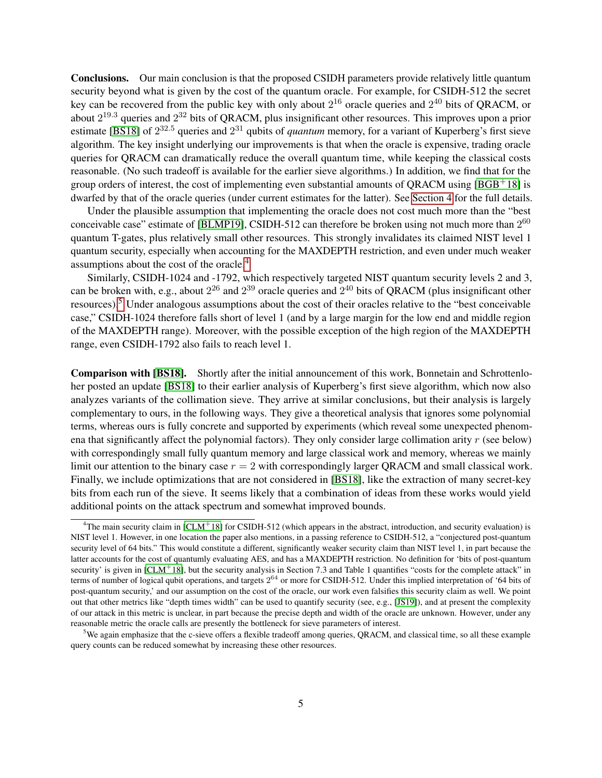Conclusions. Our main conclusion is that the proposed CSIDH parameters provide relatively little quantum security beyond what is given by the cost of the quantum oracle. For example, for CSIDH-512 the secret key can be recovered from the public key with only about  $2^{16}$  oracle queries and  $2^{40}$  bits of QRACM, or about  $2^{19.3}$  queries and  $2^{32}$  bits of QRACM, plus insignificant other resources. This improves upon a prior estimate [\[BS18\]](#page-23-9) of  $2^{32.5}$  queries and  $2^{31}$  qubits of *quantum* memory, for a variant of Kuperberg's first sieve algorithm. The key insight underlying our improvements is that when the oracle is expensive, trading oracle queries for QRACM can dramatically reduce the overall quantum time, while keeping the classical costs reasonable. (No such tradeoff is available for the earlier sieve algorithms.) In addition, we find that for the group orders of interest, the cost of implementing even substantial amounts of QRACM using  $[BGB<sup>+</sup>18]$  $[BGB<sup>+</sup>18]$  is dwarfed by that of the oracle queries (under current estimates for the latter). See [Section 4](#page-16-0) for the full details.

Under the plausible assumption that implementing the oracle does not cost much more than the "best conceivable case" estimate of [\[BLMP19\]](#page-23-8), CSIDH-512 can therefore be broken using not much more than  $2^{60}$ quantum T-gates, plus relatively small other resources. This strongly invalidates its claimed NIST level 1 quantum security, especially when accounting for the MAXDEPTH restriction, and even under much weaker assumptions about the cost of the oracle.[4](#page-4-0)

Similarly, CSIDH-1024 and -1792, which respectively targeted NIST quantum security levels 2 and 3, can be broken with, e.g., about  $2^{26}$  and  $2^{39}$  oracle queries and  $2^{40}$  bits of QRACM (plus insignificant other resources).[5](#page-4-1) Under analogous assumptions about the cost of their oracles relative to the "best conceivable case," CSIDH-1024 therefore falls short of level 1 (and by a large margin for the low end and middle region of the MAXDEPTH range). Moreover, with the possible exception of the high region of the MAXDEPTH range, even CSIDH-1792 also fails to reach level 1.

Comparison with [\[BS18\]](#page-23-9). Shortly after the initial announcement of this work, Bonnetain and Schrottenloher posted an update [\[BS18\]](#page-23-9) to their earlier analysis of Kuperberg's first sieve algorithm, which now also analyzes variants of the collimation sieve. They arrive at similar conclusions, but their analysis is largely complementary to ours, in the following ways. They give a theoretical analysis that ignores some polynomial terms, whereas ours is fully concrete and supported by experiments (which reveal some unexpected phenomena that significantly affect the polynomial factors). They only consider large collimation arity  $r$  (see below) with correspondingly small fully quantum memory and large classical work and memory, whereas we mainly limit our attention to the binary case  $r = 2$  with correspondingly larger QRACM and small classical work. Finally, we include optimizations that are not considered in [\[BS18\]](#page-23-9), like the extraction of many secret-key bits from each run of the sieve. It seems likely that a combination of ideas from these works would yield additional points on the attack spectrum and somewhat improved bounds.

<span id="page-4-0"></span><sup>&</sup>lt;sup>4</sup>The main security claim in  $[CLM+18]$  $[CLM+18]$  for CSIDH-512 (which appears in the abstract, introduction, and security evaluation) is NIST level 1. However, in one location the paper also mentions, in a passing reference to CSIDH-512, a "conjectured post-quantum security level of 64 bits." This would constitute a different, significantly weaker security claim than NIST level 1, in part because the latter accounts for the cost of quantumly evaluating AES, and has a MAXDEPTH restriction. No definition for 'bits of post-quantum security' is given in  $[CLM<sup>+</sup>18]$  $[CLM<sup>+</sup>18]$ , but the security analysis in Section 7.3 and Table 1 quantifies "costs for the complete attack" in terms of number of logical qubit operations, and targets  $2^{64}$  or more for CSIDH-512. Under this implied interpretation of '64 bits of post-quantum security,' and our assumption on the cost of the oracle, our work even falsifies this security claim as well. We point out that other metrics like "depth times width" can be used to quantify security (see, e.g., [\[JS19\]](#page-24-10)), and at present the complexity of our attack in this metric is unclear, in part because the precise depth and width of the oracle are unknown. However, under any reasonable metric the oracle calls are presently the bottleneck for sieve parameters of interest.

<span id="page-4-1"></span><sup>&</sup>lt;sup>5</sup>We again emphasize that the c-sieve offers a flexible tradeoff among queries, ORACM, and classical time, so all these example query counts can be reduced somewhat by increasing these other resources.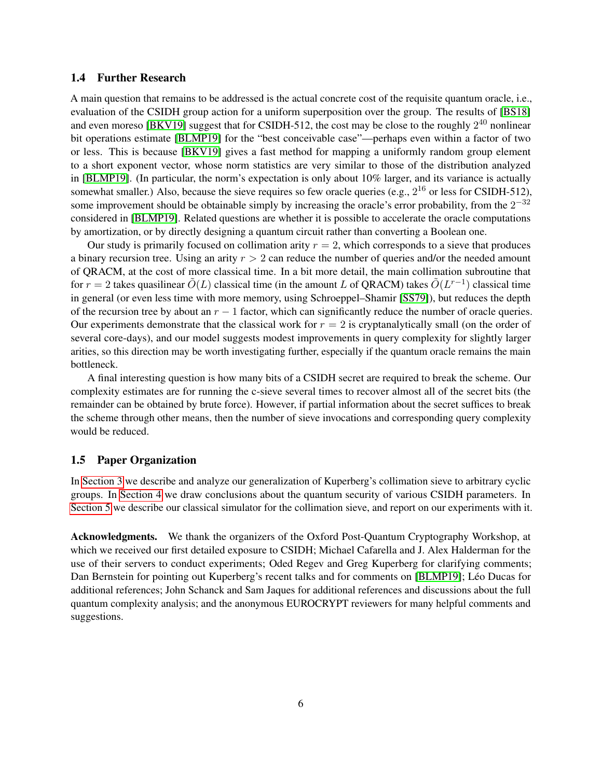#### <span id="page-5-0"></span>1.4 Further Research

A main question that remains to be addressed is the actual concrete cost of the requisite quantum oracle, i.e., evaluation of the CSIDH group action for a uniform superposition over the group. The results of [\[BS18\]](#page-23-9) and even moreso [\[BKV19\]](#page-23-6) suggest that for CSIDH-512, the cost may be close to the roughly  $2^{40}$  nonlinear bit operations estimate [\[BLMP19\]](#page-23-8) for the "best conceivable case"—perhaps even within a factor of two or less. This is because [\[BKV19\]](#page-23-6) gives a fast method for mapping a uniformly random group element to a short exponent vector, whose norm statistics are very similar to those of the distribution analyzed in [\[BLMP19\]](#page-23-8). (In particular, the norm's expectation is only about  $10\%$  larger, and its variance is actually somewhat smaller.) Also, because the sieve requires so few oracle queries (e.g.,  $2^{16}$  or less for CSIDH-512), some improvement should be obtainable simply by increasing the oracle's error probability, from the  $2^{-32}$ considered in [\[BLMP19\]](#page-23-8). Related questions are whether it is possible to accelerate the oracle computations by amortization, or by directly designing a quantum circuit rather than converting a Boolean one.

Our study is primarily focused on collimation arity  $r = 2$ , which corresponds to a sieve that produces a binary recursion tree. Using an arity  $r > 2$  can reduce the number of queries and/or the needed amount of QRACM, at the cost of more classical time. In a bit more detail, the main collimation subroutine that for  $r = 2$  takes quasilinear  $\tilde{O}(L)$  classical time (in the amount L of QRACM) takes  $\tilde{O}(L^{r-1})$  classical time in general (or even less time with more memory, using Schroeppel–Shamir [\[SS79\]](#page-24-11)), but reduces the depth of the recursion tree by about an  $r - 1$  factor, which can significantly reduce the number of oracle queries. Our experiments demonstrate that the classical work for  $r = 2$  is cryptanalytically small (on the order of several core-days), and our model suggests modest improvements in query complexity for slightly larger arities, so this direction may be worth investigating further, especially if the quantum oracle remains the main bottleneck.

A final interesting question is how many bits of a CSIDH secret are required to break the scheme. Our complexity estimates are for running the c-sieve several times to recover almost all of the secret bits (the remainder can be obtained by brute force). However, if partial information about the secret suffices to break the scheme through other means, then the number of sieve invocations and corresponding query complexity would be reduced.

## 1.5 Paper Organization

In [Section 3](#page-7-0) we describe and analyze our generalization of Kuperberg's collimation sieve to arbitrary cyclic groups. In [Section 4](#page-16-0) we draw conclusions about the quantum security of various CSIDH parameters. In [Section 5](#page-19-0) we describe our classical simulator for the collimation sieve, and report on our experiments with it.

Acknowledgments. We thank the organizers of the Oxford Post-Quantum Cryptography Workshop, at which we received our first detailed exposure to CSIDH; Michael Cafarella and J. Alex Halderman for the use of their servers to conduct experiments; Oded Regev and Greg Kuperberg for clarifying comments; Dan Bernstein for pointing out Kuperberg's recent talks and for comments on [\[BLMP19\]](#page-23-8); Léo Ducas for additional references; John Schanck and Sam Jaques for additional references and discussions about the full quantum complexity analysis; and the anonymous EUROCRYPT reviewers for many helpful comments and suggestions.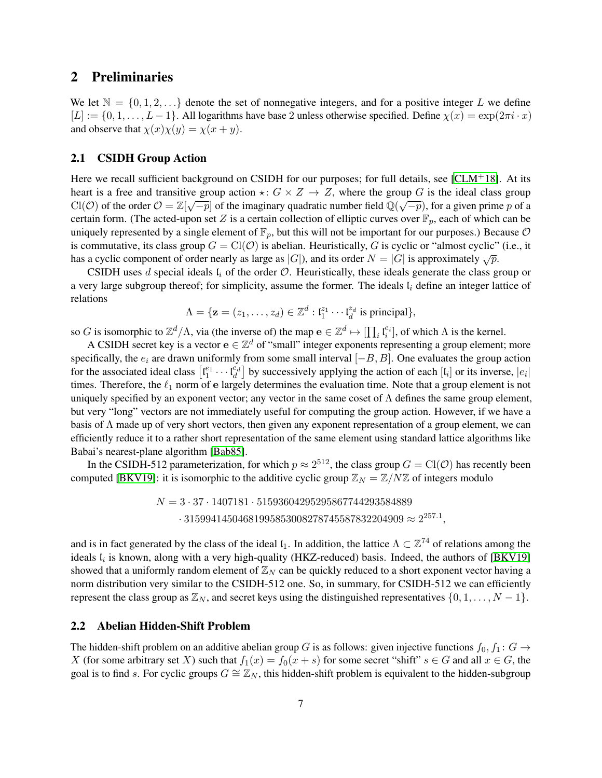## 2 Preliminaries

We let  $\mathbb{N} = \{0, 1, 2, \ldots\}$  denote the set of nonnegative integers, and for a positive integer L we define  $[L] := \{0, 1, \ldots, L-1\}$ . All logarithms have base 2 unless otherwise specified. Define  $\chi(x) = \exp(2\pi i \cdot x)$ and observe that  $\chi(x)\chi(y) = \chi(x+y)$ .

### 2.1 CSIDH Group Action

Here we recall sufficient background on CSIDH for our purposes; for full details, see  $[CLM+18]$  $[CLM+18]$ . At its heart is a free and transitive group action  $\star: G \times Z \to Z$ , where the group G is the ideal class group  $Cl(O)$  of the order  $O = \mathbb{Z}[\sqrt{-p}]$  of the imaginary quadratic number field  $\mathbb{Q}(\sqrt{-p})$ , for a given prime p of a certain form. (The acted-upon set Z is a certain collection of elliptic curves over  $\mathbb{F}_p$ , each of which can be uniquely represented by a single element of  $\mathbb{F}_p$ , but this will not be important for our purposes.) Because  $\mathcal O$ is commutative, its class group  $G = Cl(\mathcal{O})$  is abelian. Heuristically, G is cyclic or "almost cyclic" (i.e., it has a cyclic component of order nearly as large as  $|G|$ ), and its order  $N = |G|$  is approximately  $\sqrt{p}$ .

CSIDH uses d special ideals  $l_i$  of the order  $\mathcal{O}$ . Heuristically, these ideals generate the class group or a very large subgroup thereof; for simplicity, assume the former. The ideals  $l_i$  define an integer lattice of relations

$$
\Lambda = \{ \mathbf{z} = (z_1, \dots, z_d) \in \mathbb{Z}^d : \mathfrak{l}_1^{z_1} \cdots \mathfrak{l}_d^{z_d} \text{ is principal} \},
$$

so G is isomorphic to  $\mathbb{Z}^d/\Lambda$ , via (the inverse of) the map  $e \in \mathbb{Z}^d \mapsto [\prod_i \mathfrak{l}_i^{e_i}]$ , of which  $\Lambda$  is the kernel.

A CSIDH secret key is a vector  $\mathbf{e} \in \mathbb{Z}^d$  of "small" integer exponents representing a group element; more specifically, the  $e_i$  are drawn uniformly from some small interval  $[-B, B]$ . One evaluates the group action for the associated ideal class  $\begin{bmatrix} l_1^{e_1} \cdots l_d^{e_d} \end{bmatrix}$  by successively applying the action of each  $[l_i]$  or its inverse,  $|e_i|$ times. Therefore, the  $\ell_1$  norm of e largely determines the evaluation time. Note that a group element is not uniquely specified by an exponent vector; any vector in the same coset of  $\Lambda$  defines the same group element, but very "long" vectors are not immediately useful for computing the group action. However, if we have a basis of Λ made up of very short vectors, then given any exponent representation of a group element, we can efficiently reduce it to a rather short representation of the same element using standard lattice algorithms like Babai's nearest-plane algorithm [\[Bab85\]](#page-23-14).

In the CSIDH-512 parameterization, for which  $p \approx 2^{512}$ , the class group  $G = Cl(\mathcal{O})$  has recently been computed [\[BKV19\]](#page-23-6): it is isomorphic to the additive cyclic group  $\mathbb{Z}_N = \mathbb{Z}/N\mathbb{Z}$  of integers modulo

$$
N=3\cdot 37\cdot 1407181\cdot 51593604295295867744293584889\cdot 31599414504681995853008278745587832204909\approx 2^{257.1},
$$

and is in fact generated by the class of the ideal  $l_1$ . In addition, the lattice  $\Lambda \subset \mathbb{Z}^{74}$  of relations among the ideals  $l_i$  is known, along with a very high-quality (HKZ-reduced) basis. Indeed, the authors of [\[BKV19\]](#page-23-6) showed that a uniformly random element of  $\mathbb{Z}_N$  can be quickly reduced to a short exponent vector having a norm distribution very similar to the CSIDH-512 one. So, in summary, for CSIDH-512 we can efficiently represent the class group as  $\mathbb{Z}_N$ , and secret keys using the distinguished representatives  $\{0, 1, \ldots, N - 1\}$ .

### 2.2 Abelian Hidden-Shift Problem

The hidden-shift problem on an additive abelian group G is as follows: given injective functions  $f_0, f_1 : G \to$ X (for some arbitrary set X) such that  $f_1(x) = f_0(x + s)$  for some secret "shift"  $s \in G$  and all  $x \in G$ , the goal is to find s. For cyclic groups  $G \cong \mathbb{Z}_N$ , this hidden-shift problem is equivalent to the hidden-subgroup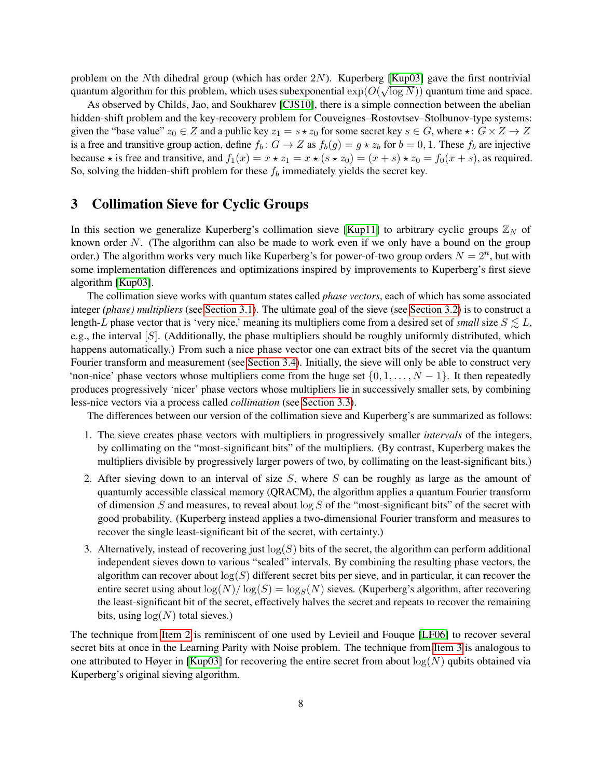problem on the Nth dihedral group (which has order 2N). Kuperberg [\[Kup03\]](#page-24-4) gave the first nontrivial quantum algorithm for this problem, which uses subexponential  $\exp(O(\sqrt{\log N}))$  quantum time and space.

As observed by Childs, Jao, and Soukharev [\[CJS10\]](#page-23-2), there is a simple connection between the abelian hidden-shift problem and the key-recovery problem for Couveignes–Rostovtsev–Stolbunov-type systems: given the "base value"  $z_0 \in Z$  and a public key  $z_1 = s \star z_0$  for some secret key  $s \in G$ , where  $\star : G \times Z \to Z$ is a free and transitive group action, define  $f_b : G \to Z$  as  $f_b(g) = g \star z_b$  for  $b = 0, 1$ . These  $f_b$  are injective because  $\star$  is free and transitive, and  $f_1(x) = x \star z_1 = x \star (s \star z_0) = (x + s) \star z_0 = f_0(x + s)$ , as required. So, solving the hidden-shift problem for these  $f<sub>b</sub>$  immediately yields the secret key.

## <span id="page-7-0"></span>3 Collimation Sieve for Cyclic Groups

In this section we generalize Kuperberg's collimation sieve [\[Kup11\]](#page-24-8) to arbitrary cyclic groups  $\mathbb{Z}_N$  of known order  $N$ . (The algorithm can also be made to work even if we only have a bound on the group order.) The algorithm works very much like Kuperberg's for power-of-two group orders  $N = 2<sup>n</sup>$ , but with some implementation differences and optimizations inspired by improvements to Kuperberg's first sieve algorithm [\[Kup03\]](#page-24-4).

The collimation sieve works with quantum states called *phase vectors*, each of which has some associated integer *(phase) multipliers* (see [Section 3.1\)](#page-8-0). The ultimate goal of the sieve (see [Section 3.2\)](#page-8-1) is to construct a length-L phase vector that is 'very nice,' meaning its multipliers come from a desired set of *small* size  $S \leq L$ , e.g., the interval [S]. (Additionally, the phase multipliers should be roughly uniformly distributed, which happens automatically.) From such a nice phase vector one can extract bits of the secret via the quantum Fourier transform and measurement (see [Section 3.4\)](#page-14-0). Initially, the sieve will only be able to construct very 'non-nice' phase vectors whose multipliers come from the huge set  $\{0, 1, \ldots, N-1\}$ . It then repeatedly produces progressively 'nicer' phase vectors whose multipliers lie in successively smaller sets, by combining less-nice vectors via a process called *collimation* (see [Section 3.3\)](#page-11-0).

The differences between our version of the collimation sieve and Kuperberg's are summarized as follows:

- 1. The sieve creates phase vectors with multipliers in progressively smaller *intervals* of the integers, by collimating on the "most-significant bits" of the multipliers. (By contrast, Kuperberg makes the multipliers divisible by progressively larger powers of two, by collimating on the least-significant bits.)
- <span id="page-7-1"></span>2. After sieving down to an interval of size  $S$ , where  $S$  can be roughly as large as the amount of quantumly accessible classical memory (QRACM), the algorithm applies a quantum Fourier transform of dimension S and measures, to reveal about  $\log S$  of the "most-significant bits" of the secret with good probability. (Kuperberg instead applies a two-dimensional Fourier transform and measures to recover the single least-significant bit of the secret, with certainty.)
- <span id="page-7-2"></span>3. Alternatively, instead of recovering just  $log(S)$  bits of the secret, the algorithm can perform additional independent sieves down to various "scaled" intervals. By combining the resulting phase vectors, the algorithm can recover about  $log(S)$  different secret bits per sieve, and in particular, it can recover the entire secret using about  $\log(N)/\log(S) = \log_S(N)$  sieves. (Kuperberg's algorithm, after recovering the least-significant bit of the secret, effectively halves the secret and repeats to recover the remaining bits, using  $log(N)$  total sieves.)

The technique from [Item 2](#page-7-1) is reminiscent of one used by Levieil and Fouque [\[LF06\]](#page-24-12) to recover several secret bits at once in the Learning Parity with Noise problem. The technique from [Item 3](#page-7-2) is analogous to one attributed to Høyer in [\[Kup03\]](#page-24-4) for recovering the entire secret from about  $log(N)$  qubits obtained via Kuperberg's original sieving algorithm.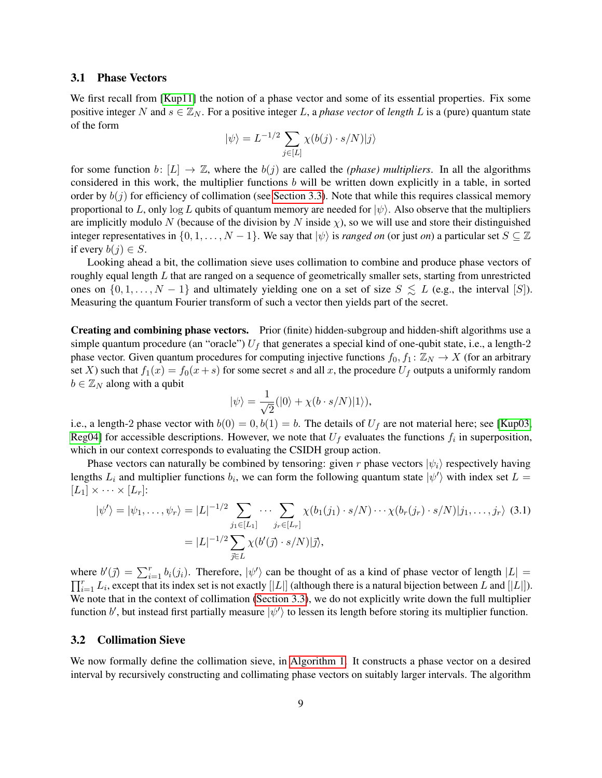#### <span id="page-8-0"></span>3.1 Phase Vectors

We first recall from [\[Kup11\]](#page-24-8) the notion of a phase vector and some of its essential properties. Fix some positive integer N and  $s \in \mathbb{Z}_N$ . For a positive integer L, a *phase vector* of *length* L is a (pure) quantum state of the form

$$
|\psi\rangle = L^{-1/2} \sum_{j \in [L]} \chi(b(j) \cdot s/N) |j\rangle
$$

for some function b:  $[L] \rightarrow \mathbb{Z}$ , where the  $b(j)$  are called the *(phase) multipliers*. In all the algorithms considered in this work, the multiplier functions b will be written down explicitly in a table, in sorted order by  $b(j)$  for efficiency of collimation (see [Section 3.3\)](#page-11-0). Note that while this requires classical memory proportional to L, only log L qubits of quantum memory are needed for  $|\psi\rangle$ . Also observe that the multipliers are implicitly modulo N (because of the division by N inside  $\chi$ ), so we will use and store their distinguished integer representatives in  $\{0, 1, \ldots, N - 1\}$ . We say that  $|\psi\rangle$  is *ranged on* (or just *on*) a particular set  $S \subseteq \mathbb{Z}$ if every  $b(j) \in S$ .

Looking ahead a bit, the collimation sieve uses collimation to combine and produce phase vectors of roughly equal length  $L$  that are ranged on a sequence of geometrically smaller sets, starting from unrestricted ones on  $\{0, 1, \ldots, N - 1\}$  and ultimately yielding one on a set of size  $S \leq L$  (e.g., the interval [S]). Measuring the quantum Fourier transform of such a vector then yields part of the secret.

Creating and combining phase vectors. Prior (finite) hidden-subgroup and hidden-shift algorithms use a simple quantum procedure (an "oracle")  $U_f$  that generates a special kind of one-qubit state, i.e., a length-2 phase vector. Given quantum procedures for computing injective functions  $f_0, f_1 : \mathbb{Z}_N \to X$  (for an arbitrary set X) such that  $f_1(x) = f_0(x+s)$  for some secret s and all x, the procedure  $U_f$  outputs a uniformly random  $b \in \mathbb{Z}_N$  along with a qubit

<span id="page-8-2"></span>
$$
|\psi\rangle = \frac{1}{\sqrt{2}}(|0\rangle + \chi(b \cdot s/N)|1\rangle),
$$

i.e., a length-2 phase vector with  $b(0) = 0, b(1) = b$ . The details of  $U_f$  are not material here; see [\[Kup03,](#page-24-4) [Reg04\]](#page-24-5) for accessible descriptions. However, we note that  $U_f$  evaluates the functions  $f_i$  in superposition, which in our context corresponds to evaluating the CSIDH group action.

Phase vectors can naturally be combined by tensoring: given r phase vectors  $|\psi_i\rangle$  respectively having lengths  $L_i$  and multiplier functions  $b_i$ , we can form the following quantum state  $|\psi'\rangle$  with index set  $L =$  $[L_1] \times \cdots \times [L_r]$ :

$$
|\psi'\rangle = |\psi_1, \dots, \psi_r\rangle = |L|^{-1/2} \sum_{j_1 \in [L_1]} \dots \sum_{j_r \in [L_r]} \chi(b_1(j_1) \cdot s/N) \dots \chi(b_r(j_r) \cdot s/N)|j_1, \dots, j_r\rangle \tag{3.1}
$$

$$
= |L|^{-1/2} \sum_{\vec{j} \in L} \chi(b'(\vec{j}) \cdot s/N)|\vec{j}\rangle,
$$

where  $b'(\vec{j}) = \sum_{i=1}^r b_i(j_i)$ . Therefore,  $|\psi'\rangle$  can be thought of as a kind of phase vector of length  $|L|$  =  $\prod_{i=1}^r L_i$ , except that its index set is not exactly [|L|] (although there is a natural bijection between L and [|L|]). We note that in the context of collimation [\(Section 3.3\)](#page-11-0), we do not explicitly write down the full multiplier function b', but instead first partially measure  $|\psi'\rangle$  to lessen its length before storing its multiplier function.

#### <span id="page-8-1"></span>3.2 Collimation Sieve

We now formally define the collimation sieve, in [Algorithm 1.](#page-9-0) It constructs a phase vector on a desired interval by recursively constructing and collimating phase vectors on suitably larger intervals. The algorithm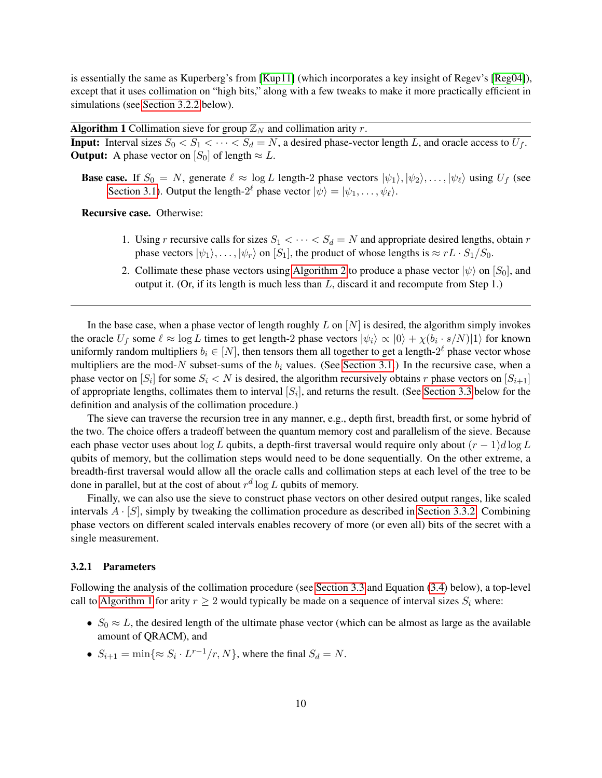is essentially the same as Kuperberg's from [\[Kup11\]](#page-24-8) (which incorporates a key insight of Regev's [\[Reg04\]](#page-24-5)), except that it uses collimation on "high bits," along with a few tweaks to make it more practically efficient in simulations (see [Section 3.2.2](#page-10-0) below).

**Algorithm 1** Collimation sieve for group  $\mathbb{Z}_N$  and collimation arity r.

<span id="page-9-0"></span>**Input:** Interval sizes  $S_0 < S_1 < \cdots < S_d = N$ , a desired phase-vector length L, and oracle access to  $U_f$ . **Output:** A phase vector on  $[S_0]$  of length  $\approx L$ .

**Base case.** If  $S_0 = N$ , generate  $\ell \approx \log L$  length-2 phase vectors  $|\psi_1\rangle, |\psi_2\rangle, \ldots, |\psi_\ell\rangle$  using  $U_f$  (see [Section 3.1\)](#page-8-0). Output the length- $2^{\ell}$  phase vector  $|\psi\rangle = |\psi_1, \dots, \psi_{\ell}\rangle$ .

Recursive case. Otherwise:

- 1. Using r recursive calls for sizes  $S_1 < \cdots < S_d = N$  and appropriate desired lengths, obtain r phase vectors  $|\psi_1\rangle, \ldots, |\psi_r\rangle$  on  $[S_1]$ , the product of whose lengths is  $\approx rL \cdot S_1/S_0$ .
- 2. Collimate these phase vectors using [Algorithm 2](#page-11-1) to produce a phase vector  $|\psi\rangle$  on  $|S_0|$ , and output it. (Or, if its length is much less than  $L$ , discard it and recompute from Step 1.)

In the base case, when a phase vector of length roughly  $L$  on  $[N]$  is desired, the algorithm simply invokes the oracle  $U_f$  some  $\ell \approx \log L$  times to get length-2 phase vectors  $|\psi_i\rangle \propto |0\rangle + \chi(b_i \cdot s/N)|1\rangle$  for known uniformly random multipliers  $b_i \in [N]$ , then tensors them all together to get a length- $2^\ell$  phase vector whose multipliers are the mod-N subset-sums of the  $b_i$  values. (See [Section 3.1.](#page-8-0)) In the recursive case, when a phase vector on  $[S_i]$  for some  $S_i < N$  is desired, the algorithm recursively obtains r phase vectors on  $[S_{i+1}]$ of appropriate lengths, collimates them to interval  $[S_i]$ , and returns the result. (See [Section 3.3](#page-11-0) below for the definition and analysis of the collimation procedure.)

The sieve can traverse the recursion tree in any manner, e.g., depth first, breadth first, or some hybrid of the two. The choice offers a tradeoff between the quantum memory cost and parallelism of the sieve. Because each phase vector uses about log L qubits, a depth-first traversal would require only about  $(r - 1)d\log L$ qubits of memory, but the collimation steps would need to be done sequentially. On the other extreme, a breadth-first traversal would allow all the oracle calls and collimation steps at each level of the tree to be done in parallel, but at the cost of about  $r^d \log L$  qubits of memory.

Finally, we can also use the sieve to construct phase vectors on other desired output ranges, like scaled intervals  $A \cdot [S]$ , simply by tweaking the collimation procedure as described in [Section 3.3.2.](#page-12-0) Combining phase vectors on different scaled intervals enables recovery of more (or even all) bits of the secret with a single measurement.

#### <span id="page-9-1"></span>3.2.1 Parameters

Following the analysis of the collimation procedure (see [Section 3.3](#page-11-0) and Equation [\(3.4\)](#page-12-1) below), a top-level call to [Algorithm 1](#page-9-0) for arity  $r \geq 2$  would typically be made on a sequence of interval sizes  $S_i$  where:

- $S_0 \approx L$ , the desired length of the ultimate phase vector (which can be almost as large as the available amount of QRACM), and
- $S_{i+1} = \min\{\approx S_i \cdot L^{r-1}/r, N\}$ , where the final  $S_d = N$ .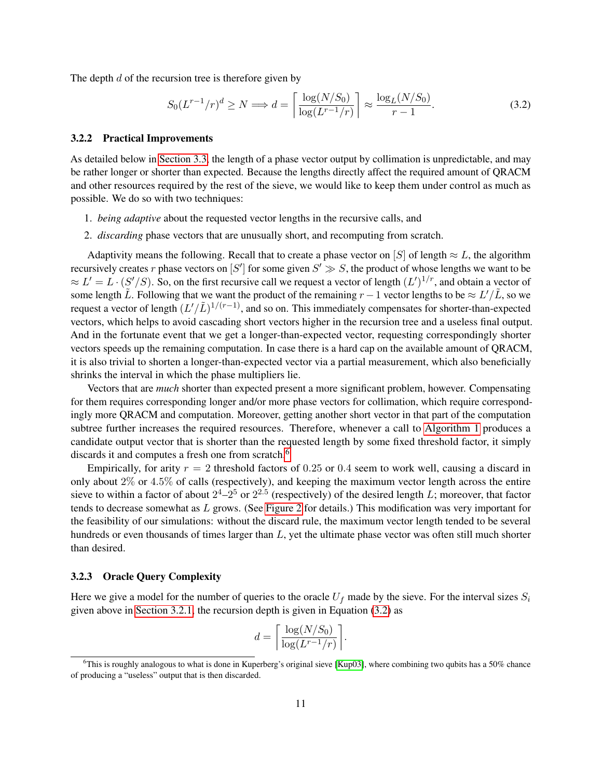The depth  $d$  of the recursion tree is therefore given by

<span id="page-10-2"></span>
$$
S_0(L^{r-1}/r)^d \ge N \Longrightarrow d = \left\lceil \frac{\log(N/S_0)}{\log(L^{r-1}/r)} \right\rceil \approx \frac{\log_L(N/S_0)}{r-1}.
$$
 (3.2)

#### <span id="page-10-0"></span>3.2.2 Practical Improvements

As detailed below in [Section 3.3,](#page-11-0) the length of a phase vector output by collimation is unpredictable, and may be rather longer or shorter than expected. Because the lengths directly affect the required amount of QRACM and other resources required by the rest of the sieve, we would like to keep them under control as much as possible. We do so with two techniques:

- 1. *being adaptive* about the requested vector lengths in the recursive calls, and
- 2. *discarding* phase vectors that are unusually short, and recomputing from scratch.

Adaptivity means the following. Recall that to create a phase vector on [S] of length  $\approx L$ , the algorithm recursively creates r phase vectors on [S'] for some given  $S' \gg S$ , the product of whose lengths we want to be  $\approx L' = L \cdot (S'/S)$ . So, on the first recursive call we request a vector of length  $(L')^{1/r}$ , and obtain a vector of some length  $\tilde{L}$ . Following that we want the product of the remaining  $r-1$  vector lengths to be  $\approx L'/\tilde{L}$ , so we request a vector of length  $(L'/L)^{1/(r-1)}$ , and so on. This immediately compensates for shorter-than-expected vectors, which helps to avoid cascading short vectors higher in the recursion tree and a useless final output. And in the fortunate event that we get a longer-than-expected vector, requesting correspondingly shorter vectors speeds up the remaining computation. In case there is a hard cap on the available amount of QRACM, it is also trivial to shorten a longer-than-expected vector via a partial measurement, which also beneficially shrinks the interval in which the phase multipliers lie.

Vectors that are *much* shorter than expected present a more significant problem, however. Compensating for them requires corresponding longer and/or more phase vectors for collimation, which require correspondingly more QRACM and computation. Moreover, getting another short vector in that part of the computation subtree further increases the required resources. Therefore, whenever a call to [Algorithm 1](#page-9-0) produces a candidate output vector that is shorter than the requested length by some fixed threshold factor, it simply discards it and computes a fresh one from scratch.<sup>[6](#page-10-1)</sup>

Empirically, for arity  $r = 2$  threshold factors of 0.25 or 0.4 seem to work well, causing a discard in only about 2% or 4.5% of calls (respectively), and keeping the maximum vector length across the entire sieve to within a factor of about  $2^4-2^5$  or  $2^{2.5}$  (respectively) of the desired length L; moreover, that factor tends to decrease somewhat as L grows. (See [Figure 2](#page-21-0) for details.) This modification was very important for the feasibility of our simulations: without the discard rule, the maximum vector length tended to be several hundreds or even thousands of times larger than L, yet the ultimate phase vector was often still much shorter than desired.

#### <span id="page-10-3"></span>3.2.3 Oracle Query Complexity

Here we give a model for the number of queries to the oracle  $U_f$  made by the sieve. For the interval sizes  $S_i$ given above in [Section 3.2.1,](#page-9-1) the recursion depth is given in Equation [\(3.2\)](#page-10-2) as

$$
d = \left\lceil \frac{\log(N/S_0)}{\log(L^{r-1}/r)} \right\rceil.
$$

<span id="page-10-1"></span><sup>&</sup>lt;sup>6</sup>This is roughly analogous to what is done in Kuperberg's original sieve [\[Kup03\]](#page-24-4), where combining two qubits has a 50% chance of producing a "useless" output that is then discarded.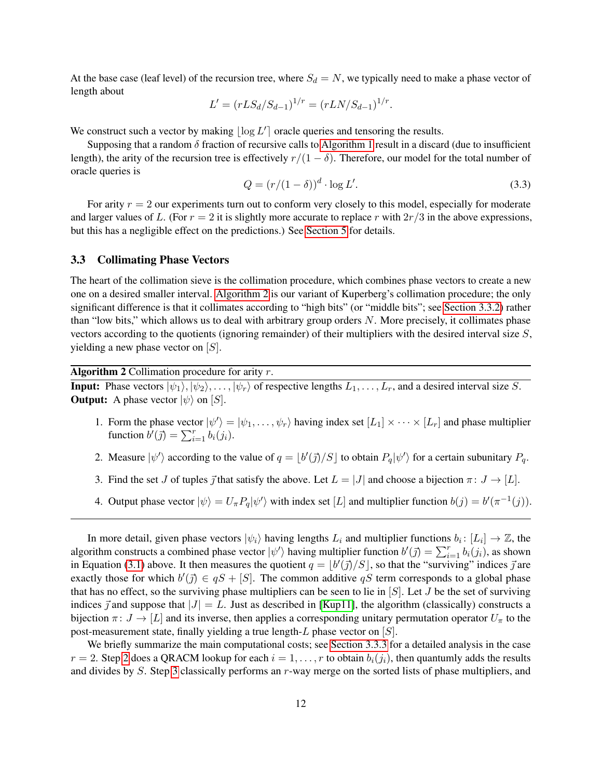At the base case (leaf level) of the recursion tree, where  $S_d = N$ , we typically need to make a phase vector of length about

$$
L' = (rLS_d/S_{d-1})^{1/r} = (rLN/S_{d-1})^{1/r}.
$$

We construct such a vector by making  $\lfloor \log L' \rfloor$  oracle queries and tensoring the results.

Supposing that a random  $\delta$  fraction of recursive calls to [Algorithm 1](#page-9-0) result in a discard (due to insufficient length), the arity of the recursion tree is effectively  $r/(1 - \delta)$ . Therefore, our model for the total number of oracle queries is

<span id="page-11-5"></span>
$$
Q = (r/(1-\delta))^d \cdot \log L'. \tag{3.3}
$$

For arity  $r = 2$  our experiments turn out to conform very closely to this model, especially for moderate and larger values of L. (For  $r = 2$  it is slightly more accurate to replace r with  $2r/3$  in the above expressions, but this has a negligible effect on the predictions.) See [Section 5](#page-19-0) for details.

### <span id="page-11-0"></span>3.3 Collimating Phase Vectors

The heart of the collimation sieve is the collimation procedure, which combines phase vectors to create a new one on a desired smaller interval. [Algorithm 2](#page-11-1) is our variant of Kuperberg's collimation procedure; the only significant difference is that it collimates according to "high bits" (or "middle bits"; see [Section 3.3.2\)](#page-12-0) rather than "low bits," which allows us to deal with arbitrary group orders N. More precisely, it collimates phase vectors according to the quotients (ignoring remainder) of their multipliers with the desired interval size S, yielding a new phase vector on  $[S]$ .

Algorithm 2 Collimation procedure for arity  $r$ .

<span id="page-11-1"></span>**Input:** Phase vectors  $|\psi_1\rangle, |\psi_2\rangle, \dots, |\psi_r\rangle$  of respective lengths  $L_1, \dots, L_r$ , and a desired interval size S. **Output:** A phase vector  $|\psi\rangle$  on [S].

- 1. Form the phase vector  $|\psi'\rangle = |\psi_1,\ldots,\psi_r\rangle$  having index set  $[L_1] \times \cdots \times [L_r]$  and phase multiplier function  $\overline{b'}(\overline{j}) = \sum_{i=1}^r b_i(j_i)$ .
- <span id="page-11-2"></span>2. Measure  $|\psi'\rangle$  according to the value of  $q = \lfloor b'(\vec{j})/S \rfloor$  to obtain  $P_q|\psi'\rangle$  for a certain subunitary  $P_q$ .
- <span id="page-11-3"></span>3. Find the set J of tuples  $\vec{j}$  that satisfy the above. Let  $L = |J|$  and choose a bijection  $\pi : J \to [L]$ .
- <span id="page-11-4"></span>4. Output phase vector  $|\psi\rangle = U_{\pi} P_q |\psi'\rangle$  with index set [L] and multiplier function  $b(j) = b'(\pi^{-1}(j))$ .

In more detail, given phase vectors  $|\psi_i\rangle$  having lengths  $L_i$  and multiplier functions  $b_i: [L_i] \to \mathbb{Z}$ , the algorithm constructs a combined phase vector  $|\psi'\rangle$  having multiplier function  $b'(\vec{j}) = \sum_{i=1}^r b_i(j_i)$ , as shown in Equation [\(3.1\)](#page-8-2) above. It then measures the quotient  $q = |b'(\vec{j})/S|$ , so that the "surviving" indices  $\vec{j}$  are exactly those for which  $b'(\vec{j}) \in qS + [S]$ . The common additive qS term corresponds to a global phase that has no effect, so the surviving phase multipliers can be seen to lie in  $[S]$ . Let J be the set of surviving indices  $\vec{j}$  and suppose that  $|J| = L$ . Just as described in [\[Kup11\]](#page-24-8), the algorithm (classically) constructs a bijection  $\pi: J \to [L]$  and its inverse, then applies a corresponding unitary permutation operator  $U_{\pi}$  to the post-measurement state, finally yielding a true length-L phase vector on  $[S]$ .

We briefly summarize the main computational costs; see [Section 3.3.3](#page-12-2) for a detailed analysis in the case  $r = 2$  $r = 2$ . Step 2 does a QRACM lookup for each  $i = 1, \ldots, r$  to obtain  $b_i(j_i)$ , then quantumly adds the results and divides by S. Step [3](#page-11-3) classically performs an r-way merge on the sorted lists of phase multipliers, and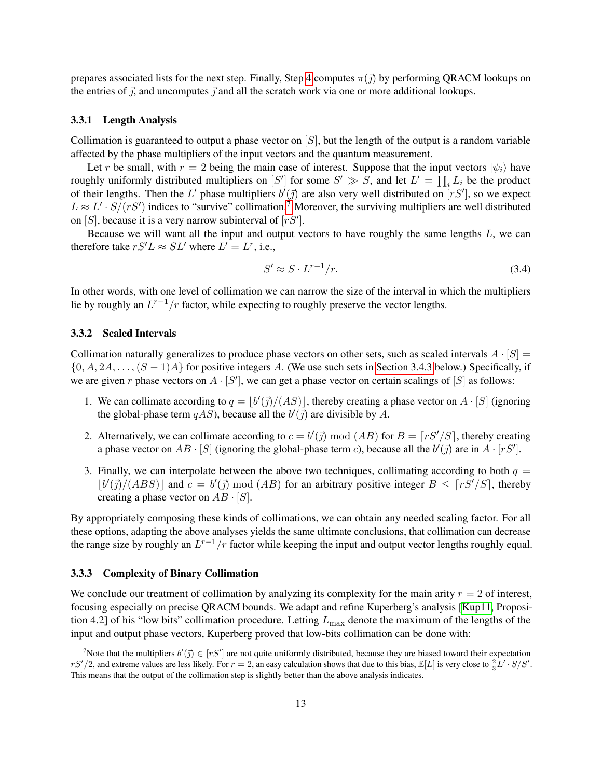prepares associated lists for the next step. Finally, Step [4](#page-11-4) computes  $\pi(\vec{j})$  by performing QRACM lookups on the entries of  $\vec{j}$ , and uncomputes  $\vec{j}$  and all the scratch work via one or more additional lookups.

#### 3.3.1 Length Analysis

Collimation is guaranteed to output a phase vector on  $[S]$ , but the length of the output is a random variable affected by the phase multipliers of the input vectors and the quantum measurement.

Let r be small, with  $r = 2$  being the main case of interest. Suppose that the input vectors  $|\psi_i\rangle$  have roughly uniformly distributed multipliers on  $[S']$  for some  $S' \gg S$ , and let  $L' = \prod_i L_i$  be the product of their lengths. Then the L' phase multipliers  $b'(\vec{j})$  are also very well distributed on  $[rS']$ , so we expect  $L \approx L' \cdot S/(rS')$  indices to "survive" collimation.<sup>[7](#page-12-3)</sup> Moreover, the surviving multipliers are well distributed on [S], because it is a very narrow subinterval of  $[rS']$ .

Because we will want all the input and output vectors to have roughly the same lengths  $L$ , we can therefore take  $rS'L \approx SL'$  where  $L' = L^r$ , i.e.,

<span id="page-12-1"></span>
$$
S' \approx S \cdot L^{r-1}/r. \tag{3.4}
$$

In other words, with one level of collimation we can narrow the size of the interval in which the multipliers lie by roughly an  $L^{r-1}/r$  factor, while expecting to roughly preserve the vector lengths.

#### <span id="page-12-0"></span>3.3.2 Scaled Intervals

Collimation naturally generalizes to produce phase vectors on other sets, such as scaled intervals  $A \cdot [S] =$  $\{0, A, 2A, \ldots, (S-1)A\}$  for positive integers A. (We use such sets in [Section 3.4.3](#page-15-0) below.) Specifically, if we are given r phase vectors on  $A \cdot [S']$ , we can get a phase vector on certain scalings of  $[S]$  as follows:

- 1. We can collimate according to  $q = |b'(\vec{j})/(AS)|$ , thereby creating a phase vector on  $A \cdot [S]$  (ignoring the global-phase term  $qAS$ ), because all the  $b'(\vec{j})$  are divisible by A.
- 2. Alternatively, we can collimate according to  $c = b'(\vec{j}) \bmod (AB)$  for  $B = \lceil rS'/S \rceil$ , thereby creating a phase vector on  $AB \cdot [S]$  (ignoring the global-phase term c), because all the  $b'(\vec{j})$  are in  $A \cdot [rS']$ .
- 3. Finally, we can interpolate between the above two techniques, collimating according to both  $q =$  $|b'(\vec{j})/(ABS)|$  and  $c = b'(\vec{j}) \mod (AB)$  for an arbitrary positive integer  $B \leq \lceil rS'/S \rceil$ , thereby creating a phase vector on  $AB \cdot [S]$ .

By appropriately composing these kinds of collimations, we can obtain any needed scaling factor. For all these options, adapting the above analyses yields the same ultimate conclusions, that collimation can decrease the range size by roughly an  $L^{r-1}/r$  factor while keeping the input and output vector lengths roughly equal.

#### <span id="page-12-2"></span>3.3.3 Complexity of Binary Collimation

We conclude our treatment of collimation by analyzing its complexity for the main arity  $r = 2$  of interest, focusing especially on precise QRACM bounds. We adapt and refine Kuperberg's analysis [\[Kup11,](#page-24-8) Proposition 4.2] of his "low bits" collimation procedure. Letting  $L_{\text{max}}$  denote the maximum of the lengths of the input and output phase vectors, Kuperberg proved that low-bits collimation can be done with:

<span id="page-12-3"></span><sup>&</sup>lt;sup>7</sup>Note that the multipliers  $b'(\vec{j}) \in [rS']$  are not quite uniformly distributed, because they are biased toward their expectation  $rS'/2$ , and extreme values are less likely. For  $r=2$ , an easy calculation shows that due to this bias,  $\mathbb{E}[L]$  is very close to  $\frac{2}{3}L' \cdot S/S'.$ This means that the output of the collimation step is slightly better than the above analysis indicates.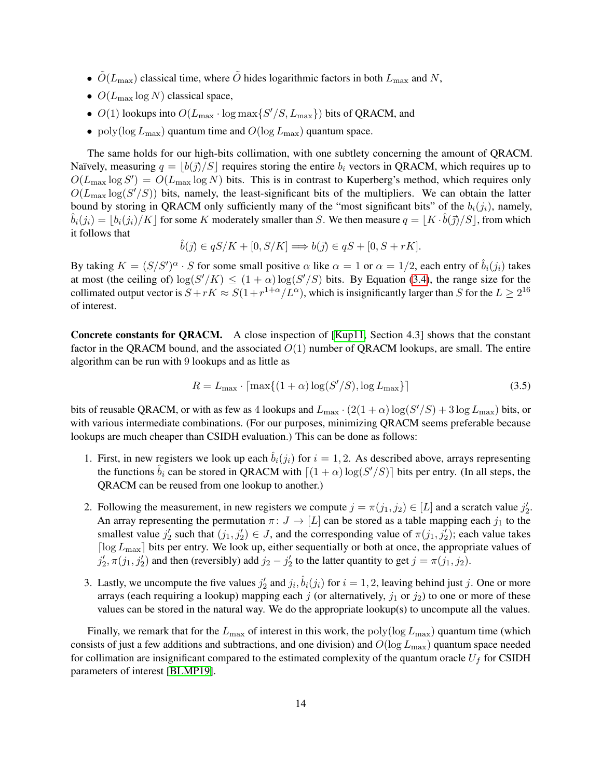- $\tilde{O}(L_{\text{max}})$  classical time, where  $\tilde{O}$  hides logarithmic factors in both  $L_{\text{max}}$  and N,
- $O(L_{\text{max}} \log N)$  classical space,
- $O(1)$  lookups into  $O(L_{\text{max}} \cdot \log \max\{S'/S, L_{\text{max}}\})$  bits of QRACM, and
- poly(log  $L_{\text{max}}$ ) quantum time and  $O(\log L_{\text{max}})$  quantum space.

The same holds for our high-bits collimation, with one subtlety concerning the amount of QRACM. Naïvely, measuring  $q = |b(\vec{\jmath})/S|$  requires storing the entire  $b_i$  vectors in QRACM, which requires up to  $O(L_{\text{max}} \log S') = O(L_{\text{max}} \log N)$  bits. This is in contrast to Kuperberg's method, which requires only  $O(L_{\text{max}} \log(S'/S))$  bits, namely, the least-significant bits of the multipliers. We can obtain the latter bound by storing in QRACM only sufficiently many of the "most significant bits" of the  $b_i(j_i)$ , namely,  $\hat{b}_i(j_i) = \lfloor b_i(j_i)/K \rfloor$  for some K moderately smaller than S. We then measure  $q = \lfloor K \cdot \hat{b}(\vec{\jmath})/S \rfloor$ , from which it follows that

$$
\hat{b}(\vec{j}) \in qS/K + [0, S/K] \Longrightarrow b(\vec{j}) \in qS + [0, S + rK].
$$

By taking  $K = (S/S')^{\alpha} \cdot S$  for some small positive  $\alpha$  like  $\alpha = 1$  or  $\alpha = 1/2$ , each entry of  $\hat{b}_i(j_i)$  takes at most (the ceiling of)  $\log(S'/K) \leq (1+\alpha)\log(S'/S)$  bits. By Equation [\(3.4\)](#page-12-1), the range size for the collimated output vector is  $S + rK \approx S(1 + r^{1+\alpha}/L^{\alpha})$ , which is insignificantly larger than S for the  $L \ge 2^{16}$ of interest.

Concrete constants for QRACM. A close inspection of [\[Kup11,](#page-24-8) Section 4.3] shows that the constant factor in the QRACM bound, and the associated  $O(1)$  number of QRACM lookups, are small. The entire algorithm can be run with 9 lookups and as little as

<span id="page-13-0"></span>
$$
R = L_{\text{max}} \cdot \left[ \max\{ (1 + \alpha) \log(S'/S), \log L_{\text{max}} \} \right] \tag{3.5}
$$

bits of reusable QRACM, or with as few as 4 lookups and  $L_{\text{max}} \cdot (2(1+\alpha) \log(S'/S) + 3 \log L_{\text{max}})$  bits, or with various intermediate combinations. (For our purposes, minimizing QRACM seems preferable because lookups are much cheaper than CSIDH evaluation.) This can be done as follows:

- 1. First, in new registers we look up each  $\hat{b}_i(j_i)$  for  $i = 1, 2$ . As described above, arrays representing the functions  $\hat{b}_i$  can be stored in QRACM with  $[(1 + \alpha) \log(S'/S)]$  bits per entry. (In all steps, the QRACM can be reused from one lookup to another.)
- 2. Following the measurement, in new registers we compute  $j = \pi(j_1, j_2) \in [L]$  and a scratch value  $j_2'$ . An array representing the permutation  $\pi: J \to [L]$  can be stored as a table mapping each  $j_1$  to the smallest value  $j_2'$  such that  $(j_1, j_2') \in J$ , and the corresponding value of  $\pi(j_1, j_2')$ ; each value takes  $\lceil \log L_{\text{max}} \rceil$  bits per entry. We look up, either sequentially or both at once, the appropriate values of  $j'_2$ ,  $\pi(j_1, j'_2)$  and then (reversibly) add  $j_2 - j'_2$  to the latter quantity to get  $j = \pi(j_1, j_2)$ .
- 3. Lastly, we uncompute the five values  $j'_2$  and  $j_i$ ,  $\hat{b}_i(j_i)$  for  $i = 1, 2$ , leaving behind just j. One or more arrays (each requiring a lookup) mapping each j (or alternatively,  $j_1$  or  $j_2$ ) to one or more of these values can be stored in the natural way. We do the appropriate lookup(s) to uncompute all the values.

Finally, we remark that for the  $L_{\text{max}}$  of interest in this work, the poly(log  $L_{\text{max}}$ ) quantum time (which consists of just a few additions and subtractions, and one division) and  $O(\log L_{\text{max}})$  quantum space needed for collimation are insignificant compared to the estimated complexity of the quantum oracle  $U_f$  for CSIDH parameters of interest [\[BLMP19\]](#page-23-8).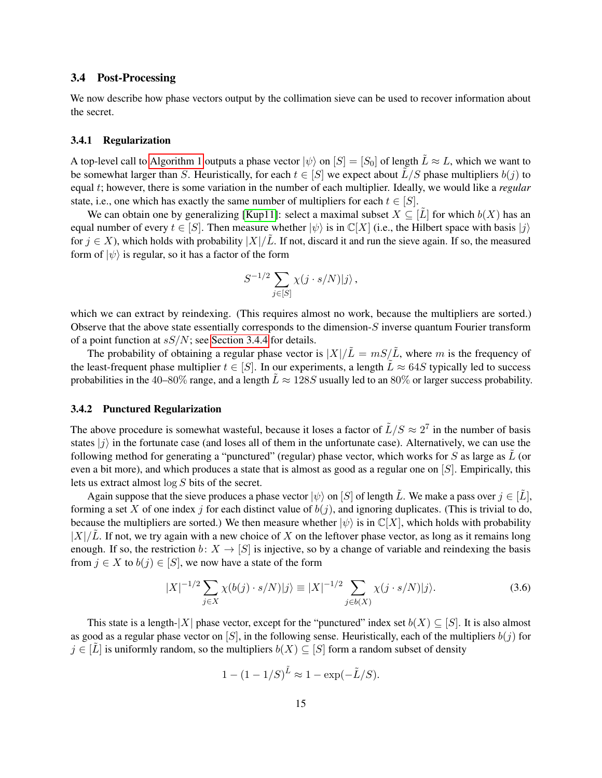### <span id="page-14-0"></span>3.4 Post-Processing

We now describe how phase vectors output by the collimation sieve can be used to recover information about the secret.

#### <span id="page-14-3"></span>3.4.1 Regularization

A top-level call to [Algorithm 1](#page-9-0) outputs a phase vector  $|\psi\rangle$  on  $|S| = |S_0|$  of length  $\tilde{L} \approx L$ , which we want to be somewhat larger than S. Heuristically, for each  $t \in [S]$  we expect about  $\hat{L}/S$  phase multipliers  $b(j)$  to equal t; however, there is some variation in the number of each multiplier. Ideally, we would like a *regular* state, i.e., one which has exactly the same number of multipliers for each  $t \in [S]$ .

We can obtain one by generalizing [\[Kup11\]](#page-24-8): select a maximal subset  $X \subseteq [L]$  for which  $b(X)$  has an equal number of every  $t \in [S]$ . Then measure whether  $|\psi\rangle$  is in  $\mathbb{C}[X]$  (i.e., the Hilbert space with basis  $|i\rangle$ ) for  $j \in X$ ), which holds with probability  $|X|/L$ . If not, discard it and run the sieve again. If so, the measured form of  $|\psi\rangle$  is regular, so it has a factor of the form

$$
S^{-1/2} \sum_{j \in [S]} \chi(j \cdot s/N) |j\rangle \,,
$$

which we can extract by reindexing. (This requires almost no work, because the multipliers are sorted.) Observe that the above state essentially corresponds to the dimension-S inverse quantum Fourier transform of a point function at  $sS/N$ ; see [Section 3.4.4](#page-15-1) for details.

The probability of obtaining a regular phase vector is  $|X|/\tilde{L} = mS/\tilde{L}$ , where m is the frequency of the least-frequent phase multiplier  $t \in [S]$ . In our experiments, a length  $\tilde{L} \approx 64S$  typically led to success probabilities in the 40–80% range, and a length  $\bar{L} \approx 128S$  usually led to an 80% or larger success probability.

#### <span id="page-14-2"></span>3.4.2 Punctured Regularization

The above procedure is somewhat wasteful, because it loses a factor of  $\tilde{L}/S \approx 2^7$  in the number of basis states  $|j\rangle$  in the fortunate case (and loses all of them in the unfortunate case). Alternatively, we can use the following method for generating a "punctured" (regular) phase vector, which works for  $S$  as large as  $\overline{L}$  (or even a bit more), and which produces a state that is almost as good as a regular one on [S]. Empirically, this lets us extract almost log S bits of the secret.

Again suppose that the sieve produces a phase vector  $|\psi\rangle$  on [S] of length  $\tilde{L}$ . We make a pass over  $j \in [\tilde{L}]$ , forming a set X of one index j for each distinct value of  $b(j)$ , and ignoring duplicates. (This is trivial to do, because the multipliers are sorted.) We then measure whether  $|\psi\rangle$  is in  $\mathbb{C}[X]$ , which holds with probability  $|X|/\tilde{L}$ . If not, we try again with a new choice of X on the leftover phase vector, as long as it remains long enough. If so, the restriction  $b: X \to [S]$  is injective, so by a change of variable and reindexing the basis from  $j \in X$  to  $b(j) \in [S]$ , we now have a state of the form

$$
|X|^{-1/2} \sum_{j \in X} \chi(b(j) \cdot s/N)|j\rangle \equiv |X|^{-1/2} \sum_{j \in b(X)} \chi(j \cdot s/N)|j\rangle.
$$
 (3.6)

This state is a length-|X| phase vector, except for the "punctured" index set  $b(X) \subseteq [S]$ . It is also almost as good as a regular phase vector on [S], in the following sense. Heuristically, each of the multipliers  $b(j)$  for  $j \in [\tilde{L}]$  is uniformly random, so the multipliers  $b(X) \subseteq [S]$  form a random subset of density

<span id="page-14-1"></span>
$$
1 - (1 - 1/S)^{\tilde{L}} \approx 1 - \exp(-\tilde{L}/S).
$$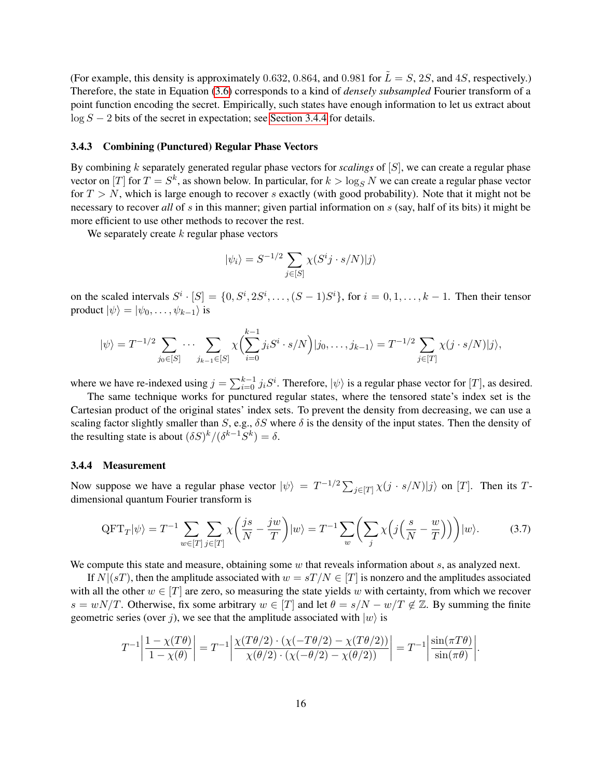(For example, this density is approximately 0.632, 0.864, and 0.981 for  $\tilde{L} = S$ , 2S, and 4S, respectively.) Therefore, the state in Equation [\(3.6\)](#page-14-1) corresponds to a kind of *densely subsampled* Fourier transform of a point function encoding the secret. Empirically, such states have enough information to let us extract about  $\log S - 2$  bits of the secret in expectation; see [Section 3.4.4](#page-15-1) for details.

#### <span id="page-15-0"></span>3.4.3 Combining (Punctured) Regular Phase Vectors

By combining k separately generated regular phase vectors for *scalings* of [S], we can create a regular phase vector on  $[T]$  for  $T = S^k$ , as shown below. In particular, for  $k > \log_S N$  we can create a regular phase vector for  $T > N$ , which is large enough to recover s exactly (with good probability). Note that it might not be necessary to recover *all* of s in this manner; given partial information on s (say, half of its bits) it might be more efficient to use other methods to recover the rest.

We separately create  $k$  regular phase vectors

<span id="page-15-2"></span>
$$
|\psi_i\rangle = S^{-1/2} \sum_{j \in [S]} \chi(S^ij \cdot s/N)|j\rangle
$$

on the scaled intervals  $S^i \cdot [S] = \{0, S^i, 2S^i, \dots, (S-1)S^i\}$ , for  $i = 0, 1, \dots, k-1$ . Then their tensor product  $|\psi\rangle = |\psi_0, \dots, \psi_{k-1}\rangle$  is

$$
|\psi\rangle = T^{-1/2} \sum_{j_0 \in [S]} \cdots \sum_{j_{k-1} \in [S]} \chi \Big( \sum_{i=0}^{k-1} j_i S^i \cdot s/N \Big) |j_0, \ldots, j_{k-1}\rangle = T^{-1/2} \sum_{j \in [T]} \chi(j \cdot s/N) |j\rangle,
$$

where we have re-indexed using  $j = \sum_{i=0}^{k-1} j_i S^i$ . Therefore,  $|\psi\rangle$  is a regular phase vector for [T], as desired.

The same technique works for punctured regular states, where the tensored state's index set is the Cartesian product of the original states' index sets. To prevent the density from decreasing, we can use a scaling factor slightly smaller than S, e.g.,  $\delta S$  where  $\delta$  is the density of the input states. Then the density of the resulting state is about  $(\delta S)^k/(\delta^{k-1}S^k) = \delta$ .

#### <span id="page-15-1"></span>3.4.4 Measurement

Now suppose we have a regular phase vector  $|\psi\rangle = T^{-1/2} \sum_{j \in [T]} \chi(j \cdot s/N) |j\rangle$  on [T]. Then its Tdimensional quantum Fourier transform is

$$
\text{QFT}_T|\psi\rangle = T^{-1} \sum_{w \in [T]} \sum_{j \in [T]} \chi\left(\frac{js}{N} - \frac{jw}{T}\right)|w\rangle = T^{-1} \sum_w \left(\sum_j \chi\left(j\left(\frac{s}{N} - \frac{w}{T}\right)\right)\right)|w\rangle. \tag{3.7}
$$

We compute this state and measure, obtaining some  $w$  that reveals information about  $s$ , as analyzed next.

If  $N|(sT)$ , then the amplitude associated with  $w = sT/N \in [T]$  is nonzero and the amplitudes associated with all the other  $w \in [T]$  are zero, so measuring the state yields w with certainty, from which we recover  $s = wN/T$ . Otherwise, fix some arbitrary  $w \in [T]$  and let  $\theta = s/N - w/T \notin \mathbb{Z}$ . By summing the finite geometric series (over j), we see that the amplitude associated with  $|w\rangle$  is

$$
T^{-1}\left|\frac{1-\chi(T\theta)}{1-\chi(\theta)}\right| = T^{-1}\left|\frac{\chi(T\theta/2)\cdot(\chi(-T\theta/2)-\chi(T\theta/2))}{\chi(\theta/2)\cdot(\chi(-\theta/2)-\chi(\theta/2))}\right| = T^{-1}\left|\frac{\sin(\pi T\theta)}{\sin(\pi \theta)}\right|.
$$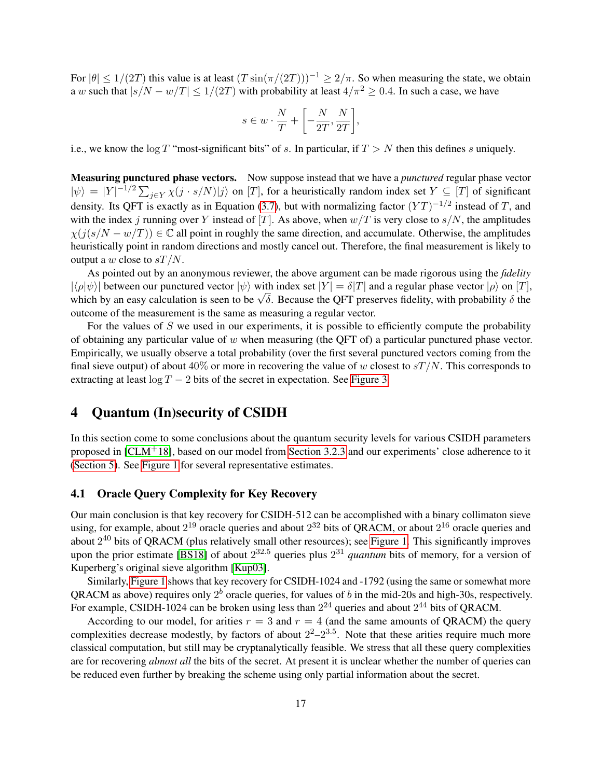For  $|\theta| \le 1/(2T)$  this value is at least  $(T \sin(\pi/(2T)))^{-1} \ge 2/\pi$ . So when measuring the state, we obtain a w such that  $|s/N - w/T| \le 1/(2T)$  with probability at least  $4/\pi^2 \ge 0.4$ . In such a case, we have

$$
s \in w \cdot \frac{N}{T} + \left[ -\frac{N}{2T}, \frac{N}{2T} \right],
$$

i.e., we know the  $\log T$  "most-significant bits" of s. In particular, if  $T > N$  then this defines s uniquely.

Measuring punctured phase vectors. Now suppose instead that we have a *punctured* regular phase vector  $|\psi\rangle = |Y|^{-1/2} \sum_{j \in Y} \chi(j \cdot s/N)|j\rangle$  on [T], for a heuristically random index set  $Y \subseteq [T]$  of significant density. Its QFT is exactly as in Equation [\(3.7\)](#page-15-2), but with normalizing factor  $(YT)^{-1/2}$  instead of T, and with the index j running over Y instead of [T]. As above, when  $w/T$  is very close to  $s/N$ , the amplitudes  $\chi(j(s/N - w/T)) \in \mathbb{C}$  all point in roughly the same direction, and accumulate. Otherwise, the amplitudes heuristically point in random directions and mostly cancel out. Therefore, the final measurement is likely to output a w close to  $sT/N$ .

As pointed out by an anonymous reviewer, the above argument can be made rigorous using the *fidelity*  $|\langle \rho | \psi \rangle|$  between our punctured vector  $|\psi \rangle$  with index set  $|Y| = \delta |T|$  and a regular phase vector  $|\rho \rangle$  on  $|T|$ ,  $|\langle \rho | \psi \rangle|$  between our punctured vector  $|\psi\rangle$  with maex set  $|r| = o|I|$  and a regular phase vector  $|\rho\rangle$  on  $|I|$ , which by an easy calculation is seen to be  $\sqrt{\delta}$ . Because the QFT preserves fidelity, with probability outcome of the measurement is the same as measuring a regular vector.

For the values of  $S$  we used in our experiments, it is possible to efficiently compute the probability of obtaining any particular value of  $w$  when measuring (the QFT of) a particular punctured phase vector. Empirically, we usually observe a total probability (over the first several punctured vectors coming from the final sieve output) of about  $40\%$  or more in recovering the value of w closest to  $sT/N$ . This corresponds to extracting at least  $\log T - 2$  bits of the secret in expectation. See [Figure 3.](#page-22-0)

## <span id="page-16-0"></span>4 Quantum (In)security of CSIDH

In this section come to some conclusions about the quantum security levels for various CSIDH parameters proposed in [\[CLM](#page-23-4)+18], based on our model from [Section 3.2.3](#page-10-3) and our experiments' close adherence to it [\(Section 5\)](#page-19-0). See [Figure 1](#page-17-0) for several representative estimates.

## 4.1 Oracle Query Complexity for Key Recovery

Our main conclusion is that key recovery for CSIDH-512 can be accomplished with a binary collimaton sieve using, for example, about  $2^{19}$  oracle queries and about  $2^{32}$  bits of QRACM, or about  $2^{16}$  oracle queries and about  $2^{40}$  bits of QRACM (plus relatively small other resources); see [Figure 1.](#page-17-0) This significantly improves upon the prior estimate [\[BS18\]](#page-23-9) of about 2 <sup>32</sup>.<sup>5</sup> queries plus 2 <sup>31</sup> *quantum* bits of memory, for a version of Kuperberg's original sieve algorithm [\[Kup03\]](#page-24-4).

Similarly, [Figure 1](#page-17-0) shows that key recovery for CSIDH-1024 and -1792 (using the same or somewhat more QRACM as above) requires only  $2^b$  oracle queries, for values of b in the mid-20s and high-30s, respectively. For example, CSIDH-1024 can be broken using less than  $2^{24}$  queries and about  $2^{44}$  bits of QRACM.

According to our model, for arities  $r = 3$  and  $r = 4$  (and the same amounts of QRACM) the query complexities decrease modestly, by factors of about  $2^2-2^{3.5}$ . Note that these arities require much more classical computation, but still may be cryptanalytically feasible. We stress that all these query complexities are for recovering *almost all* the bits of the secret. At present it is unclear whether the number of queries can be reduced even further by breaking the scheme using only partial information about the secret.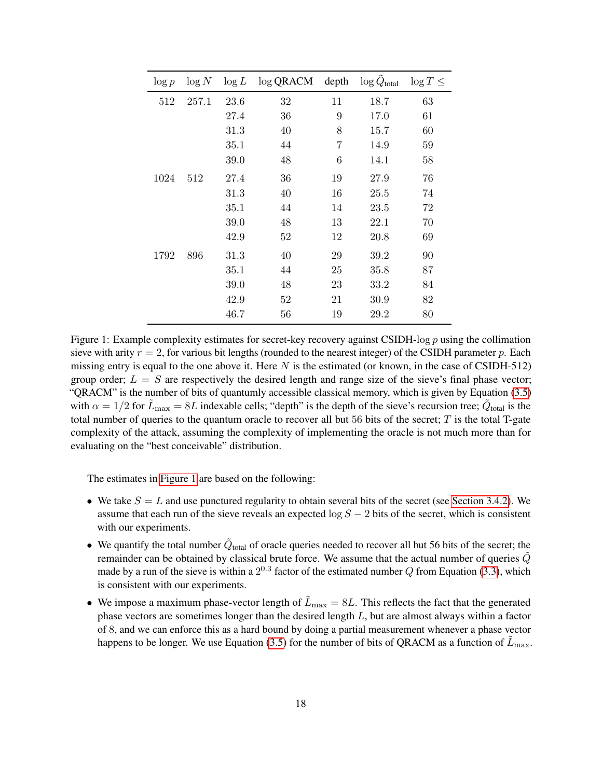<span id="page-17-0"></span>

| $\log p$ | $\log N$ | $\log L$ | $\log$ QRACM | depth | $\log \ddot{Q}_{\text{total}}$ | $\log T \leq$ |
|----------|----------|----------|--------------|-------|--------------------------------|---------------|
| 512      | 257.1    | 23.6     | 32           | 11    | 18.7                           | 63            |
|          |          | 27.4     | 36           | 9     | 17.0                           | 61            |
|          |          | 31.3     | 40           | 8     | 15.7                           | 60            |
|          |          | 35.1     | 44           | 7     | 14.9                           | 59            |
|          |          | 39.0     | 48           | 6     | 14.1                           | 58            |
| 1024     | 512      | 27.4     | 36           | 19    | 27.9                           | 76            |
|          |          | 31.3     | 40           | 16    | 25.5                           | 74            |
|          |          | 35.1     | 44           | 14    | 23.5                           | 72            |
|          |          | 39.0     | 48           | 13    | 22.1                           | 70            |
|          |          | 42.9     | 52           | 12    | 20.8                           | 69            |
| 1792     | 896      | 31.3     | 40           | 29    | 39.2                           | 90            |
|          |          | 35.1     | 44           | 25    | 35.8                           | 87            |
|          |          | 39.0     | 48           | 23    | 33.2                           | 84            |
|          |          | 42.9     | 52           | 21    | 30.9                           | 82            |
|          |          | 46.7     | 56           | 19    | 29.2                           | 80            |

Figure 1: Example complexity estimates for secret-key recovery against CSIDH-log  $p$  using the collimation sieve with arity  $r = 2$ , for various bit lengths (rounded to the nearest integer) of the CSIDH parameter p. Each missing entry is equal to the one above it. Here  $N$  is the estimated (or known, in the case of CSIDH-512) group order;  $L = S$  are respectively the desired length and range size of the sieve's final phase vector; "QRACM" is the number of bits of quantumly accessible classical memory, which is given by Equation [\(3.5\)](#page-13-0) with  $\alpha = 1/2$  for  $\tilde{L}_{\text{max}} = 8L$  indexable cells; "depth" is the depth of the sieve's recursion tree;  $\tilde{Q}_{\text{total}}$  is the total number of queries to the quantum oracle to recover all but 56 bits of the secret;  $T$  is the total T-gate complexity of the attack, assuming the complexity of implementing the oracle is not much more than for evaluating on the "best conceivable" distribution.

The estimates in [Figure 1](#page-17-0) are based on the following:

- We take  $S = L$  and use punctured regularity to obtain several bits of the secret (see [Section 3.4.2\)](#page-14-2). We assume that each run of the sieve reveals an expected  $\log S - 2$  bits of the secret, which is consistent with our experiments.
- We quantify the total number  $\tilde{Q}_{total}$  of oracle queries needed to recover all but 56 bits of the secret; the remainder can be obtained by classical brute force. We assume that the actual number of queries  $\tilde{Q}$ made by a run of the sieve is within a  $2^{0.3}$  factor of the estimated number Q from Equation [\(3.3\)](#page-11-5), which is consistent with our experiments.
- We impose a maximum phase-vector length of  $\tilde{L}_{\text{max}} = 8L$ . This reflects the fact that the generated phase vectors are sometimes longer than the desired length  $L$ , but are almost always within a factor of 8, and we can enforce this as a hard bound by doing a partial measurement whenever a phase vector happens to be longer. We use Equation [\(3.5\)](#page-13-0) for the number of bits of QRACM as a function of  $\tilde{L}_{\text{max}}$ .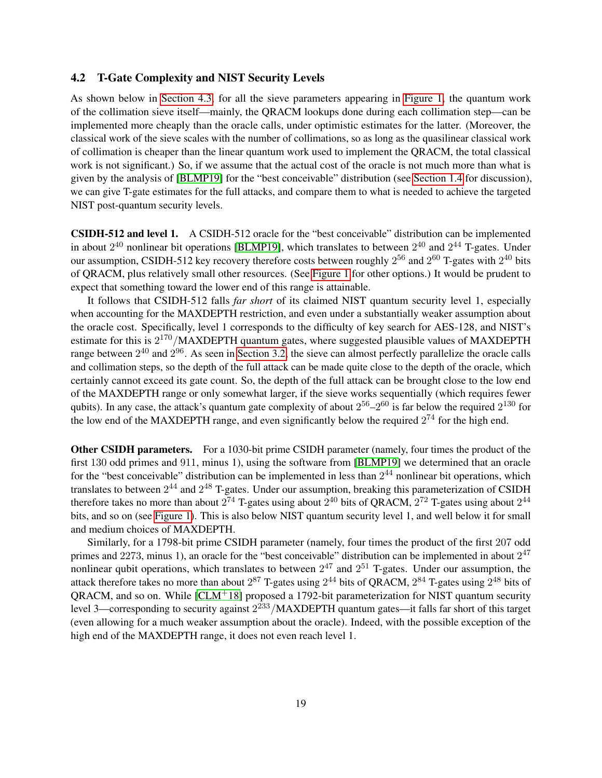### 4.2 T-Gate Complexity and NIST Security Levels

As shown below in [Section 4.3,](#page-19-1) for all the sieve parameters appearing in [Figure 1,](#page-17-0) the quantum work of the collimation sieve itself—mainly, the QRACM lookups done during each collimation step—can be implemented more cheaply than the oracle calls, under optimistic estimates for the latter. (Moreover, the classical work of the sieve scales with the number of collimations, so as long as the quasilinear classical work of collimation is cheaper than the linear quantum work used to implement the QRACM, the total classical work is not significant.) So, if we assume that the actual cost of the oracle is not much more than what is given by the analysis of [\[BLMP19\]](#page-23-8) for the "best conceivable" distribution (see [Section 1.4](#page-5-0) for discussion), we can give T-gate estimates for the full attacks, and compare them to what is needed to achieve the targeted NIST post-quantum security levels.

CSIDH-512 and level 1. A CSIDH-512 oracle for the "best conceivable" distribution can be implemented in about  $2^{40}$  nonlinear bit operations [\[BLMP19\]](#page-23-8), which translates to between  $2^{40}$  and  $2^{44}$  T-gates. Under our assumption, CSIDH-512 key recovery therefore costs between roughly  $2^{56}$  and  $2^{60}$  T-gates with  $2^{40}$  bits of QRACM, plus relatively small other resources. (See [Figure 1](#page-17-0) for other options.) It would be prudent to expect that something toward the lower end of this range is attainable.

It follows that CSIDH-512 falls *far short* of its claimed NIST quantum security level 1, especially when accounting for the MAXDEPTH restriction, and even under a substantially weaker assumption about the oracle cost. Specifically, level 1 corresponds to the difficulty of key search for AES-128, and NIST's estimate for this is  $2^{170}$ /MAXDEPTH quantum gates, where suggested plausible values of MAXDEPTH range between  $2^{40}$  and  $2^{96}$ . As seen in [Section 3.2,](#page-8-1) the sieve can almost perfectly parallelize the oracle calls and collimation steps, so the depth of the full attack can be made quite close to the depth of the oracle, which certainly cannot exceed its gate count. So, the depth of the full attack can be brought close to the low end of the MAXDEPTH range or only somewhat larger, if the sieve works sequentially (which requires fewer qubits). In any case, the attack's quantum gate complexity of about  $2^{56} - 2^{60}$  is far below the required  $2^{130}$  for the low end of the MAXDEPTH range, and even significantly below the required  $2^{74}$  for the high end.

Other CSIDH parameters. For a 1030-bit prime CSIDH parameter (namely, four times the product of the first 130 odd primes and 911, minus 1), using the software from [\[BLMP19\]](#page-23-8) we determined that an oracle for the "best conceivable" distribution can be implemented in less than  $2^{44}$  nonlinear bit operations, which translates to between  $2^{44}$  and  $2^{48}$  T-gates. Under our assumption, breaking this parameterization of CSIDH therefore takes no more than about  $2^{74}$  T-gates using about  $2^{40}$  bits of QRACM,  $2^{72}$  T-gates using about  $2^{44}$ bits, and so on (see [Figure 1\)](#page-17-0). This is also below NIST quantum security level 1, and well below it for small and medium choices of MAXDEPTH.

Similarly, for a 1798-bit prime CSIDH parameter (namely, four times the product of the first 207 odd primes and 2273, minus 1), an oracle for the "best conceivable" distribution can be implemented in about  $2^{47}$ nonlinear qubit operations, which translates to between  $2^{47}$  and  $2^{51}$  T-gates. Under our assumption, the attack therefore takes no more than about  $2^{87}$  T-gates using  $2^{44}$  bits of QRACM,  $2^{84}$  T-gates using  $2^{48}$  bits of  $ORACM$ , and so on. While  $[CLM<sup>+</sup>18]$  $[CLM<sup>+</sup>18]$  proposed a 1792-bit parameterization for NIST quantum security level 3—corresponding to security against  $2^{233}$ /MAXDEPTH quantum gates—it falls far short of this target (even allowing for a much weaker assumption about the oracle). Indeed, with the possible exception of the high end of the MAXDEPTH range, it does not even reach level 1.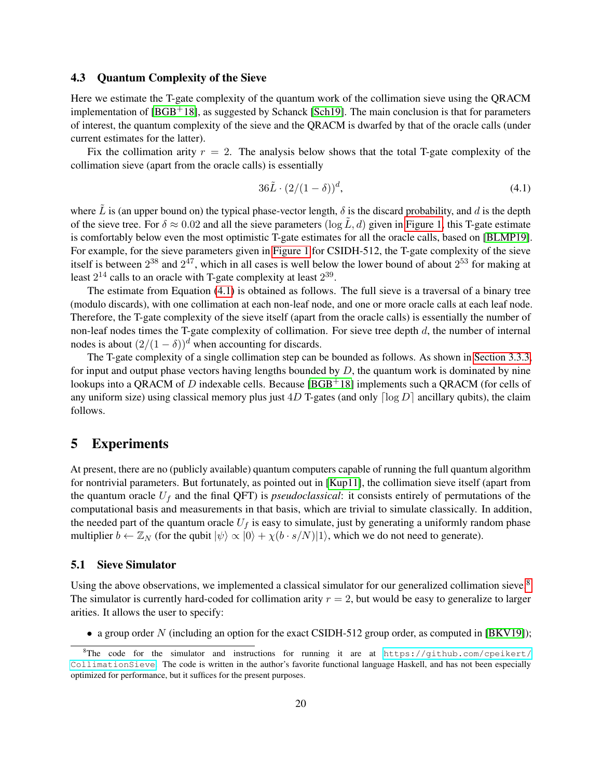#### <span id="page-19-1"></span>4.3 Quantum Complexity of the Sieve

Here we estimate the T-gate complexity of the quantum work of the collimation sieve using the QRACM implementation of  $[BGB<sup>+</sup>18]$  $[BGB<sup>+</sup>18]$ , as suggested by Schanck [\[Sch19\]](#page-24-9). The main conclusion is that for parameters of interest, the quantum complexity of the sieve and the QRACM is dwarfed by that of the oracle calls (under current estimates for the latter).

Fix the collimation arity  $r = 2$ . The analysis below shows that the total T-gate complexity of the collimation sieve (apart from the oracle calls) is essentially

<span id="page-19-2"></span>
$$
36\tilde{L} \cdot (2/(1-\delta))^d,\tag{4.1}
$$

where  $\tilde{L}$  is (an upper bound on) the typical phase-vector length,  $\delta$  is the discard probability, and d is the depth of the sieve tree. For  $\delta \approx 0.02$  and all the sieve parameters  $(\log \tilde{L}, d)$  given in [Figure 1,](#page-17-0) this T-gate estimate is comfortably below even the most optimistic T-gate estimates for all the oracle calls, based on [\[BLMP19\]](#page-23-8). For example, for the sieve parameters given in [Figure 1](#page-17-0) for CSIDH-512, the T-gate complexity of the sieve itself is between  $2^{38}$  and  $2^{47}$ , which in all cases is well below the lower bound of about  $2^{53}$  for making at least  $2^{14}$  calls to an oracle with T-gate complexity at least  $2^{39}$ .

The estimate from Equation [\(4.1\)](#page-19-2) is obtained as follows. The full sieve is a traversal of a binary tree (modulo discards), with one collimation at each non-leaf node, and one or more oracle calls at each leaf node. Therefore, the T-gate complexity of the sieve itself (apart from the oracle calls) is essentially the number of non-leaf nodes times the T-gate complexity of collimation. For sieve tree depth  $d$ , the number of internal nodes is about  $(2/(1 - \delta))^d$  when accounting for discards.

The T-gate complexity of a single collimation step can be bounded as follows. As shown in [Section 3.3.3,](#page-12-2) for input and output phase vectors having lengths bounded by  $D$ , the quantum work is dominated by nine lookups into a QRACM of D indexable cells. Because  $[{\rm BGB^+18}]$  implements such a QRACM (for cells of any uniform size) using classical memory plus just  $4D$  T-gates (and only  $\lceil \log D \rceil$  ancillary qubits), the claim follows.

## <span id="page-19-0"></span>5 Experiments

At present, there are no (publicly available) quantum computers capable of running the full quantum algorithm for nontrivial parameters. But fortunately, as pointed out in [\[Kup11\]](#page-24-8), the collimation sieve itself (apart from the quantum oracle  $U_f$  and the final QFT) is *pseudoclassical*: it consists entirely of permutations of the computational basis and measurements in that basis, which are trivial to simulate classically. In addition, the needed part of the quantum oracle  $U_f$  is easy to simulate, just by generating a uniformly random phase multiplier  $b \leftarrow \mathbb{Z}_N$  (for the qubit  $|\psi\rangle \propto |0\rangle + \chi(b \cdot s/N)|1\rangle$ , which we do not need to generate).

#### 5.1 Sieve Simulator

Using the above observations, we implemented a classical simulator for our generalized collimation sieve.<sup>[8](#page-19-3)</sup> The simulator is currently hard-coded for collimation arity  $r = 2$ , but would be easy to generalize to larger arities. It allows the user to specify:

• a group order N (including an option for the exact CSIDH-512 group order, as computed in [\[BKV19\]](#page-23-6));

<span id="page-19-3"></span><sup>&</sup>lt;sup>8</sup>The code for the simulator and instructions for running it are at [https://github.com/cpeikert/](https://github.com/cpeikert/CollimationSieve) [CollimationSieve](https://github.com/cpeikert/CollimationSieve). The code is written in the author's favorite functional language Haskell, and has not been especially optimized for performance, but it suffices for the present purposes.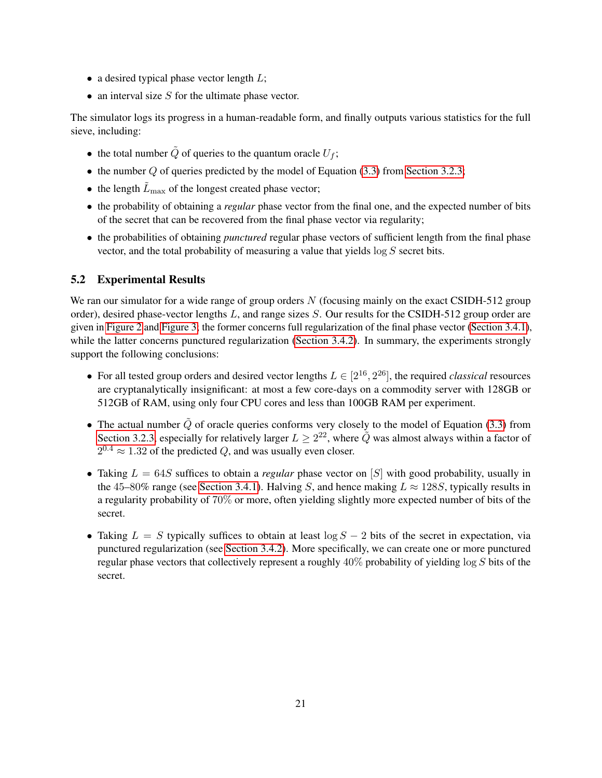- a desired typical phase vector length  $L$ ;
- an interval size  $S$  for the ultimate phase vector.

The simulator logs its progress in a human-readable form, and finally outputs various statistics for the full sieve, including:

- the total number  $\tilde{Q}$  of queries to the quantum oracle  $U_f$ ;
- the number  $Q$  of queries predicted by the model of Equation [\(3.3\)](#page-11-5) from [Section 3.2.3;](#page-10-3)
- the length  $\tilde{L}_{\text{max}}$  of the longest created phase vector;
- the probability of obtaining a *regular* phase vector from the final one, and the expected number of bits of the secret that can be recovered from the final phase vector via regularity;
- the probabilities of obtaining *punctured* regular phase vectors of sufficient length from the final phase vector, and the total probability of measuring a value that yields  $\log S$  secret bits.

## 5.2 Experimental Results

We ran our simulator for a wide range of group orders  $N$  (focusing mainly on the exact CSIDH-512 group order), desired phase-vector lengths L, and range sizes S. Our results for the CSIDH-512 group order are given in [Figure 2](#page-21-0) and [Figure 3;](#page-22-0) the former concerns full regularization of the final phase vector [\(Section 3.4.1\)](#page-14-3), while the latter concerns punctured regularization [\(Section 3.4.2\)](#page-14-2). In summary, the experiments strongly support the following conclusions:

- For all tested group orders and desired vector lengths  $L \in [2^{16}, 2^{26}]$ , the required *classical* resources are cryptanalytically insignificant: at most a few core-days on a commodity server with 128GB or 512GB of RAM, using only four CPU cores and less than 100GB RAM per experiment.
- The actual number  $\tilde{Q}$  of oracle queries conforms very closely to the model of Equation [\(3.3\)](#page-11-5) from [Section 3.2.3,](#page-10-3) especially for relatively larger  $L \geq 2^{22}$ , where  $\tilde{Q}$  was almost always within a factor of  $2^{0.4} \approx 1.32$  of the predicted Q, and was usually even closer.
- Taking  $L = 64S$  suffices to obtain a *regular* phase vector on [S] with good probability, usually in the 45–80% range (see [Section 3.4.1\)](#page-14-3). Halving S, and hence making  $L \approx 128S$ , typically results in a regularity probability of 70% or more, often yielding slightly more expected number of bits of the secret.
- Taking  $L = S$  typically suffices to obtain at least  $\log S 2$  bits of the secret in expectation, via punctured regularization (see [Section 3.4.2\)](#page-14-2). More specifically, we can create one or more punctured regular phase vectors that collectively represent a roughly 40% probability of yielding log S bits of the secret.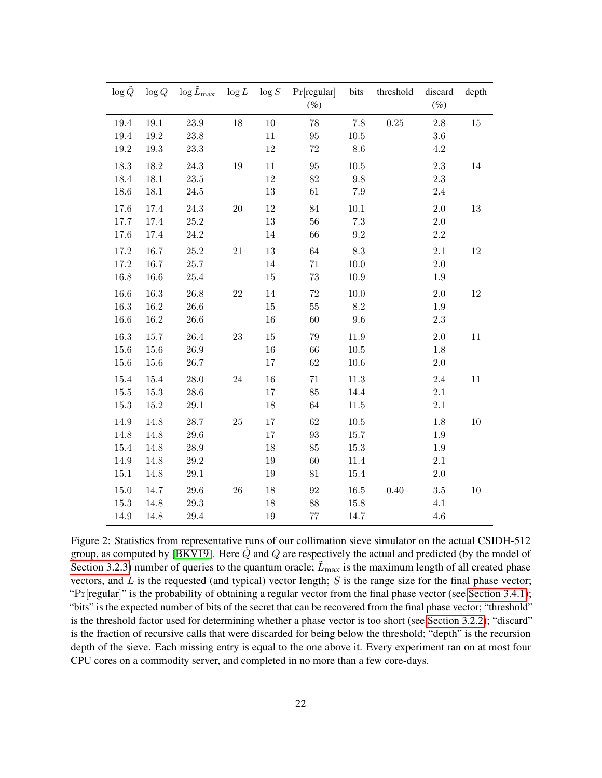<span id="page-21-0"></span>

| $\log Q$ | $\log Q$ | $\log \tilde{L}_{\text{max}}$ $\log L$ $\log S$ |        |        | Pr[regular]<br>$(\%)$ | bits            | threshold | discard<br>$(\%)$ | depth  |
|----------|----------|-------------------------------------------------|--------|--------|-----------------------|-----------------|-----------|-------------------|--------|
| $19.4\,$ | $19.1\,$ | $23.9\,$                                        | $18\,$ | $10\,$ | $78\,$                | $7.8\,$         | $0.25\,$  | $2.8\,$           | $15\,$ |
| 19.4     | $19.2\,$ | $23.8\,$                                        |        | 11     | $\rm 95$              | $10.5\,$        |           | $3.6\,$           |        |
| 19.2     | 19.3     | $23.3\,$                                        |        | $12\,$ | $72\,$                | 8.6             |           | 4.2               |        |
| 18.3     | 18.2     | 24.3                                            | $19\,$ | 11     | $\rm 95$              | $10.5\,$        |           | $2.3\,$           | 14     |
| 18.4     | $18.1\,$ | $23.5\,$                                        |        | $12\,$ | $82\,$                | $\,9.8$         |           | 2.3               |        |
| 18.6     | 18.1     | $24.5\,$                                        |        | $13\,$ | 61                    | 7.9             |           | $2.4\,$           |        |
| 17.6     | 17.4     | $24.3\,$                                        | $20\,$ | $12\,$ | $84\,$                | $10.1\,$        |           | $2.0\,$           | $13\,$ |
| $17.7\,$ | 17.4     | $25.2\,$                                        |        | $13\,$ | $56\,$                | $7.3\,$         |           | $2.0\,$           |        |
| 17.6     | 17.4     | 24.2                                            |        | 14     | 66                    | $\,9.2$         |           | $2.2\,$           |        |
| 17.2     | 16.7     | $25.2\,$                                        | $21\,$ | $13\,$ | 64                    | $\!\!\!\!\!8.3$ |           | $2.1\,$           | $12\,$ |
| $17.2\,$ | $16.7\,$ | $25.7\,$                                        |        | 14     | $71\,$                | $10.0\,$        |           | $2.0\,$           |        |
| 16.8     | 16.6     | $25.4\,$                                        |        | $15\,$ | $73\,$                | 10.9            |           | 1.9               |        |
| 16.6     | 16.3     | $26.8\,$                                        | $22\,$ | $14\,$ | $72\,$                | $10.0\,$        |           | $2.0\,$           | $12\,$ |
| 16.3     | $16.2\,$ | $26.6\,$                                        |        | $15\,$ | $55\,$                | $8.2\,$         |           | 1.9               |        |
| 16.6     | 16.2     | 26.6                                            |        | 16     | 60                    | 9.6             |           | $2.3\,$           |        |
| 16.3     | $15.7\,$ | $26.4\,$                                        | $23\,$ | $15\,$ | $79\,$                | 11.9            |           | $2.0\,$           | 11     |
| 15.6     | 15.6     | 26.9                                            |        | $16\,$ | 66                    | $10.5\,$        |           | 1.8               |        |
| $15.6\,$ | 15.6     | 26.7                                            |        | $17\,$ | $62\,$                | $10.6\,$        |           | $2.0\,$           |        |
| 15.4     | 15.4     | $28.0\,$                                        | $24\,$ | $16\,$ | $71\,$                | $11.3\,$        |           | $2.4\,$           | $11\,$ |
| $15.5\,$ | 15.3     | $28.6\,$                                        |        | $17\,$ | $85\,$                | 14.4            |           | $2.1\,$           |        |
| 15.3     | 15.2     | $29.1\,$                                        |        | 18     | 64                    | 11.5            |           | $2.1\,$           |        |
| 14.9     | 14.8     | 28.7                                            | $25\,$ | 17     | $62\,$                | $10.5\,$        |           | 1.8               | 10     |
| 14.8     | 14.8     | $29.6\,$                                        |        | $17\,$ | $\boldsymbol{93}$     | 15.7            |           | 1.9               |        |
| 15.4     | 14.8     | $28.9\,$                                        |        | $18\,$ | $85\,$                | $15.3\,$        |           | 1.9               |        |
| 14.9     | 14.8     | $29.2\,$                                        |        | $19\,$ | $60\,$                | 11.4            |           | $2.1\,$           |        |
| 15.1     | 14.8     | $29.1\,$                                        |        | 19     | 81                    | 15.4            |           | $2.0\,$           |        |
| 15.0     | 14.7     | $29.6\,$                                        | $26\,$ | $18\,$ | $\boldsymbol{92}$     | $16.5\,$        | 0.40      | $3.5\,$           | 10     |
| 15.3     | 14.8     | $29.3\,$                                        |        | 18     | 88                    | 15.8            |           | 4.1               |        |
| 14.9     | 14.8     | $29.4\,$                                        |        | $19\,$ | $77\,$                | 14.7            |           | 4.6               |        |

Figure 2: Statistics from representative runs of our collimation sieve simulator on the actual CSIDH-512 group, as computed by [\[BKV19\]](#page-23-6). Here  $\tilde{Q}$  and  $Q$  are respectively the actual and predicted (by the model of [Section 3.2.3\)](#page-10-3) number of queries to the quantum oracle;  $\tilde{L}_{\text{max}}$  is the maximum length of all created phase vectors, and  $L$  is the requested (and typical) vector length;  $S$  is the range size for the final phase vector; "Pr[regular]" is the probability of obtaining a regular vector from the final phase vector (see [Section 3.4.1\)](#page-14-3); "bits" is the expected number of bits of the secret that can be recovered from the final phase vector; "threshold" is the threshold factor used for determining whether a phase vector is too short (see [Section 3.2.2\)](#page-10-0); "discard" is the fraction of recursive calls that were discarded for being below the threshold; "depth" is the recursion depth of the sieve. Each missing entry is equal to the one above it. Every experiment ran on at most four CPU cores on a commodity server, and completed in no more than a few core-days.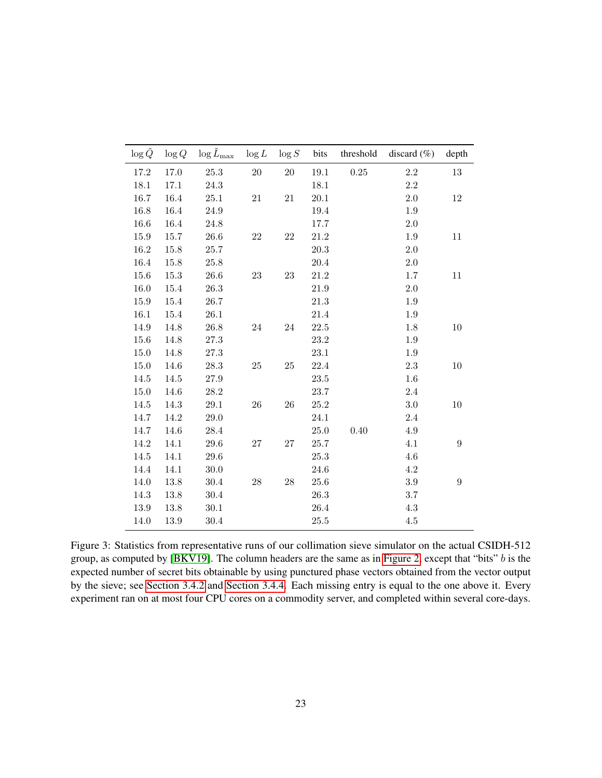<span id="page-22-0"></span>

| $\log \tilde{Q}$ | $\log Q$ | $\log \tilde{L}_{\rm max}$ | $\log L$ | $\log S$ | bits     | threshold | discard $(\% )$ | depth            |
|------------------|----------|----------------------------|----------|----------|----------|-----------|-----------------|------------------|
| 17.2             | 17.0     | 25.3                       | 20       | $20\,$   | 19.1     | 0.25      | 2.2             | 13               |
| 18.1             | 17.1     | 24.3                       |          |          | 18.1     |           | 2.2             |                  |
| 16.7             | 16.4     | 25.1                       | $21\,$   | 21       | 20.1     |           | 2.0             | $12\,$           |
| 16.8             | 16.4     | 24.9                       |          |          | 19.4     |           | 1.9             |                  |
| 16.6             | 16.4     | 24.8                       |          |          | 17.7     |           | 2.0             |                  |
| 15.9             | 15.7     | 26.6                       | 22       | 22       | 21.2     |           | 1.9             | 11               |
| 16.2             | 15.8     | 25.7                       |          |          | 20.3     |           | 2.0             |                  |
| 16.4             | 15.8     | 25.8                       |          |          | 20.4     |           | $2.0\,$         |                  |
| 15.6             | 15.3     | 26.6                       | $23\,$   | $23\,$   | $21.2\,$ |           | $1.7\,$         | 11               |
| 16.0             | 15.4     | 26.3                       |          |          | 21.9     |           | 2.0             |                  |
| 15.9             | 15.4     | 26.7                       |          |          | 21.3     |           | 1.9             |                  |
| 16.1             | 15.4     | 26.1                       |          |          | 21.4     |           | 1.9             |                  |
| 14.9             | 14.8     | 26.8                       | 24       | 24       | $22.5\,$ |           | $1.8\,$         | 10               |
| 15.6             | 14.8     | 27.3                       |          |          | 23.2     |           | 1.9             |                  |
| 15.0             | 14.8     | 27.3                       |          |          | $23.1\,$ |           | $1.9\,$         |                  |
| 15.0             | 14.6     | 28.3                       | 25       | 25       | 22.4     |           | 2.3             | 10               |
| 14.5             | 14.5     | $27.9\,$                   |          |          | 23.5     |           | 1.6             |                  |
| 15.0             | 14.6     | 28.2                       |          |          | 23.7     |           | 2.4             |                  |
| 14.5             | 14.3     | 29.1                       | 26       | 26       | 25.2     |           | $3.0\,$         | $10\,$           |
| 14.7             | 14.2     | 29.0                       |          |          | 24.1     |           | $2.4\,$         |                  |
| 14.7             | 14.6     | 28.4                       |          |          | 25.0     | 0.40      | 4.9             |                  |
| 14.2             | 14.1     | 29.6                       | $27\,$   | 27       | 25.7     |           | 4.1             | $\boldsymbol{9}$ |
| 14.5             | 14.1     | 29.6                       |          |          | 25.3     |           | 4.6             |                  |
| 14.4             | 14.1     | 30.0                       |          |          | 24.6     |           | 4.2             |                  |
| 14.0             | 13.8     | 30.4                       | $28\,$   | 28       | 25.6     |           | $3.9\,$         | $\overline{9}$   |
| 14.3             | 13.8     | 30.4                       |          |          | 26.3     |           | 3.7             |                  |
| 13.9             | 13.8     | 30.1                       |          |          | 26.4     |           | $4.3\,$         |                  |
| 14.0             | 13.9     | 30.4                       |          |          | 25.5     |           | 4.5             |                  |

Figure 3: Statistics from representative runs of our collimation sieve simulator on the actual CSIDH-512 group, as computed by [\[BKV19\]](#page-23-6). The column headers are the same as in [Figure 2,](#page-21-0) except that "bits" b is the expected number of secret bits obtainable by using punctured phase vectors obtained from the vector output by the sieve; see [Section 3.4.2](#page-14-2) and [Section 3.4.4.](#page-15-1) Each missing entry is equal to the one above it. Every experiment ran on at most four CPU cores on a commodity server, and completed within several core-days.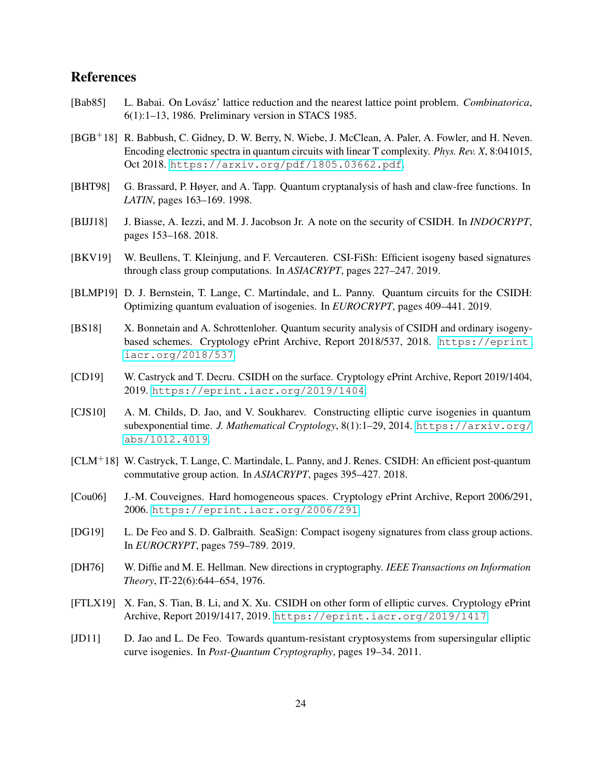## References

- <span id="page-23-14"></span>[Bab85] L. Babai. On Lovász' lattice reduction and the nearest lattice point problem. *Combinatorica*, 6(1):1–13, 1986. Preliminary version in STACS 1985.
- <span id="page-23-11"></span>[BGB+18] R. Babbush, C. Gidney, D. W. Berry, N. Wiebe, J. McClean, A. Paler, A. Fowler, and H. Neven. Encoding electronic spectra in quantum circuits with linear T complexity. *Phys. Rev. X*, 8:041015, Oct 2018. <https://arxiv.org/pdf/1805.03662.pdf>.
- <span id="page-23-10"></span>[BHT98] G. Brassard, P. Høyer, and A. Tapp. Quantum cryptanalysis of hash and claw-free functions. In *LATIN*, pages 163–169. 1998.
- <span id="page-23-7"></span>[BIJJ18] J. Biasse, A. Iezzi, and M. J. Jacobson Jr. A note on the security of CSIDH. In *INDOCRYPT*, pages 153–168. 2018.
- <span id="page-23-6"></span>[BKV19] W. Beullens, T. Kleinjung, and F. Vercauteren. CSI-FiSh: Efficient isogeny based signatures through class group computations. In *ASIACRYPT*, pages 227–247. 2019.
- <span id="page-23-8"></span>[BLMP19] D. J. Bernstein, T. Lange, C. Martindale, and L. Panny. Quantum circuits for the CSIDH: Optimizing quantum evaluation of isogenies. In *EUROCRYPT*, pages 409–441. 2019.
- <span id="page-23-9"></span>[BS18] X. Bonnetain and A. Schrottenloher. Quantum security analysis of CSIDH and ordinary isogenybased schemes. Cryptology ePrint Archive, Report 2018/537, 2018. [https://eprint.](https://eprint.iacr.org/2018/537) [iacr.org/2018/537](https://eprint.iacr.org/2018/537).
- <span id="page-23-12"></span>[CD19] W. Castryck and T. Decru. CSIDH on the surface. Cryptology ePrint Archive, Report 2019/1404, 2019. <https://eprint.iacr.org/2019/1404>.
- <span id="page-23-2"></span>[CJS10] A. M. Childs, D. Jao, and V. Soukharev. Constructing elliptic curve isogenies in quantum subexponential time. *J. Mathematical Cryptology*, 8(1):1–29, 2014. [https://arxiv.org/](https://arxiv.org/abs/1012.4019) [abs/1012.4019](https://arxiv.org/abs/1012.4019).
- <span id="page-23-4"></span>[CLM+18] W. Castryck, T. Lange, C. Martindale, L. Panny, and J. Renes. CSIDH: An efficient post-quantum commutative group action. In *ASIACRYPT*, pages 395–427. 2018.
- <span id="page-23-0"></span>[Cou06] J.-M. Couveignes. Hard homogeneous spaces. Cryptology ePrint Archive, Report 2006/291, 2006. <https://eprint.iacr.org/2006/291>.
- <span id="page-23-5"></span>[DG19] L. De Feo and S. D. Galbraith. SeaSign: Compact isogeny signatures from class group actions. In *EUROCRYPT*, pages 759–789. 2019.
- <span id="page-23-1"></span>[DH76] W. Diffie and M. E. Hellman. New directions in cryptography. *IEEE Transactions on Information Theory*, IT-22(6):644–654, 1976.
- <span id="page-23-13"></span>[FTLX19] X. Fan, S. Tian, B. Li, and X. Xu. CSIDH on other form of elliptic curves. Cryptology ePrint Archive, Report 2019/1417, 2019. <https://eprint.iacr.org/2019/1417>.
- <span id="page-23-3"></span>[JD11] D. Jao and L. De Feo. Towards quantum-resistant cryptosystems from supersingular elliptic curve isogenies. In *Post-Quantum Cryptography*, pages 19–34. 2011.